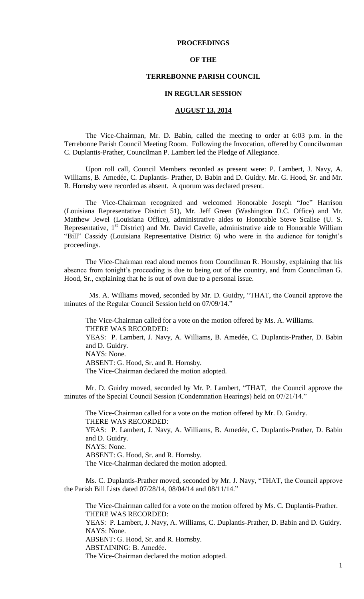### **PROCEEDINGS**

#### **OF THE**

### **TERREBONNE PARISH COUNCIL**

## **IN REGULAR SESSION**

#### **AUGUST 13, 2014**

The Vice-Chairman, Mr. D. Babin, called the meeting to order at 6:03 p.m. in the Terrebonne Parish Council Meeting Room. Following the Invocation, offered by Councilwoman C. Duplantis-Prather, Councilman P. Lambert led the Pledge of Allegiance.

Upon roll call, Council Members recorded as present were: P. Lambert, J. Navy, A. Williams, B. Amedée, C. Duplantis- Prather, D. Babin and D. Guidry. Mr. G. Hood, Sr. and Mr. R. Hornsby were recorded as absent. A quorum was declared present.

The Vice-Chairman recognized and welcomed Honorable Joseph "Joe" Harrison (Louisiana Representative District 51), Mr. Jeff Green (Washington D.C. Office) and Mr. Matthew Jewel (Louisiana Office), administrative aides to Honorable Steve Scalise (U. S. Representative, 1<sup>st</sup> District) and Mr. David Cavelle, administrative aide to Honorable William "Bill" Cassidy (Louisiana Representative District 6) who were in the audience for tonight's proceedings.

The Vice-Chairman read aloud memos from Councilman R. Hornsby, explaining that his absence from tonight's proceeding is due to being out of the country, and from Councilman G. Hood, Sr., explaining that he is out of own due to a personal issue.

Ms. A. Williams moved, seconded by Mr. D. Guidry, "THAT, the Council approve the minutes of the Regular Council Session held on 07/09/14."

The Vice-Chairman called for a vote on the motion offered by Ms. A. Williams. THERE WAS RECORDED: YEAS: P. Lambert, J. Navy, A. Williams, B. Amedée, C. Duplantis-Prather, D. Babin and D. Guidry. NAYS: None.

ABSENT: G. Hood, Sr. and R. Hornsby.

The Vice-Chairman declared the motion adopted.

Mr. D. Guidry moved, seconded by Mr. P. Lambert, "THAT, the Council approve the minutes of the Special Council Session (Condemnation Hearings) held on 07/21/14."

The Vice-Chairman called for a vote on the motion offered by Mr. D. Guidry. THERE WAS RECORDED: YEAS: P. Lambert, J. Navy, A. Williams, B. Amedée, C. Duplantis-Prather, D. Babin and D. Guidry. NAYS: None. ABSENT: G. Hood, Sr. and R. Hornsby. The Vice-Chairman declared the motion adopted.

Ms. C. Duplantis-Prather moved, seconded by Mr. J. Navy, "THAT, the Council approve the Parish Bill Lists dated 07/28/14, 08/04/14 and 08/11/14."

The Vice-Chairman called for a vote on the motion offered by Ms. C. Duplantis-Prather. THERE WAS RECORDED: YEAS: P. Lambert, J. Navy, A. Williams, C. Duplantis-Prather, D. Babin and D. Guidry. NAYS: None. ABSENT: G. Hood, Sr. and R. Hornsby. ABSTAINING: B. Amedée. The Vice-Chairman declared the motion adopted.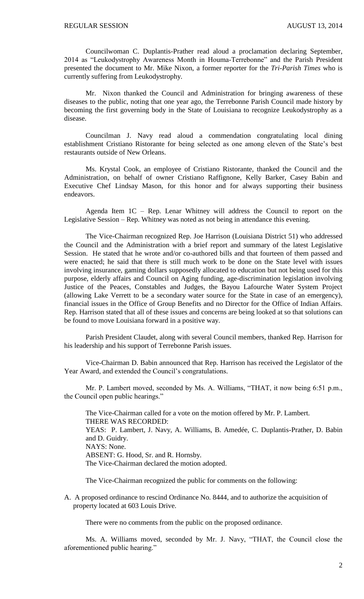Councilwoman C. Duplantis-Prather read aloud a proclamation declaring September, 2014 as "Leukodystrophy Awareness Month in Houma-Terrebonne" and the Parish President presented the document to Mr. Mike Nixon, a former reporter for the *Tri-Parish Times* who is currently suffering from Leukodystrophy.

Mr. Nixon thanked the Council and Administration for bringing awareness of these diseases to the public, noting that one year ago, the Terrebonne Parish Council made history by becoming the first governing body in the State of Louisiana to recognize Leukodystrophy as a disease.

Councilman J. Navy read aloud a commendation congratulating local dining establishment Cristiano Ristorante for being selected as one among eleven of the State's best restaurants outside of New Orleans.

Ms. Krystal Cook, an employee of Cristiano Ristorante, thanked the Council and the Administration, on behalf of owner Cristiano Raffignone, Kelly Barker, Casey Babin and Executive Chef Lindsay Mason, for this honor and for always supporting their business endeavors.

Agenda Item 1C – Rep. Lenar Whitney will address the Council to report on the Legislative Session – Rep. Whitney was noted as not being in attendance this evening.

The Vice-Chairman recognized Rep. Joe Harrison (Louisiana District 51) who addressed the Council and the Administration with a brief report and summary of the latest Legislative Session. He stated that he wrote and/or co-authored bills and that fourteen of them passed and were enacted; he said that there is still much work to be done on the State level with issues involving insurance, gaming dollars supposedly allocated to education but not being used for this purpose, elderly affairs and Council on Aging funding, age-discrimination legislation involving Justice of the Peaces, Constables and Judges, the Bayou Lafourche Water System Project (allowing Lake Verrett to be a secondary water source for the State in case of an emergency), financial issues in the Office of Group Benefits and no Director for the Office of Indian Affairs. Rep. Harrison stated that all of these issues and concerns are being looked at so that solutions can be found to move Louisiana forward in a positive way.

Parish President Claudet, along with several Council members, thanked Rep. Harrison for his leadership and his support of Terrebonne Parish issues.

Vice-Chairman D. Babin announced that Rep. Harrison has received the Legislator of the Year Award, and extended the Council's congratulations.

Mr. P. Lambert moved, seconded by Ms. A. Williams, "THAT, it now being 6:51 p.m., the Council open public hearings."

The Vice-Chairman called for a vote on the motion offered by Mr. P. Lambert. THERE WAS RECORDED: YEAS: P. Lambert, J. Navy, A. Williams, B. Amedée, C. Duplantis-Prather, D. Babin and D. Guidry. NAYS: None. ABSENT: G. Hood, Sr. and R. Hornsby. The Vice-Chairman declared the motion adopted.

The Vice-Chairman recognized the public for comments on the following:

A. A proposed ordinance to rescind Ordinance No. 8444, and to authorize the acquisition of property located at 603 Louis Drive.

There were no comments from the public on the proposed ordinance.

Ms. A. Williams moved, seconded by Mr. J. Navy, "THAT, the Council close the aforementioned public hearing."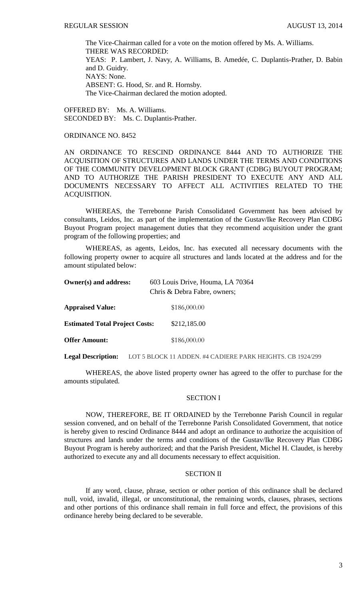The Vice-Chairman called for a vote on the motion offered by Ms. A. Williams. THERE WAS RECORDED: YEAS: P. Lambert, J. Navy, A. Williams, B. Amedée, C. Duplantis-Prather, D. Babin and D. Guidry. NAYS: None. ABSENT: G. Hood, Sr. and R. Hornsby. The Vice-Chairman declared the motion adopted.

OFFERED BY: Ms. A. Williams. SECONDED BY: Ms. C. Duplantis-Prather.

#### ORDINANCE NO. 8452

AN ORDINANCE TO RESCIND ORDINANCE 8444 AND TO AUTHORIZE THE ACQUISITION OF STRUCTURES AND LANDS UNDER THE TERMS AND CONDITIONS OF THE COMMUNITY DEVELOPMENT BLOCK GRANT (CDBG) BUYOUT PROGRAM; AND TO AUTHORIZE THE PARISH PRESIDENT TO EXECUTE ANY AND ALL DOCUMENTS NECESSARY TO AFFECT ALL ACTIVITIES RELATED TO THE ACQUISITION.

WHEREAS, the Terrebonne Parish Consolidated Government has been advised by consultants, Leidos, Inc. as part of the implementation of the Gustav/Ike Recovery Plan CDBG Buyout Program project management duties that they recommend acquisition under the grant program of the following properties; and

WHEREAS, as agents, Leidos, Inc. has executed all necessary documents with the following property owner to acquire all structures and lands located at the address and for the amount stipulated below:

| Owner(s) and address:                 | 603 Louis Drive, Houma, LA 70364<br>Chris & Debra Fabre, owners; |
|---------------------------------------|------------------------------------------------------------------|
| <b>Appraised Value:</b>               | \$186,000.00                                                     |
| <b>Estimated Total Project Costs:</b> | \$212,185.00                                                     |
| <b>Offer Amount:</b>                  | \$186,000.00                                                     |

**Legal Description:** LOT 5 BLOCK 11 ADDEN. #4 CADIERE PARK HEIGHTS. CB 1924/299

WHEREAS, the above listed property owner has agreed to the offer to purchase for the amounts stipulated.

## SECTION I

NOW, THEREFORE, BE IT ORDAINED by the Terrebonne Parish Council in regular session convened, and on behalf of the Terrebonne Parish Consolidated Government, that notice is hereby given to rescind Ordinance 8444 and adopt an ordinance to authorize the acquisition of structures and lands under the terms and conditions of the Gustav/Ike Recovery Plan CDBG Buyout Program is hereby authorized; and that the Parish President, Michel H. Claudet, is hereby authorized to execute any and all documents necessary to effect acquisition.

#### SECTION II

If any word, clause, phrase, section or other portion of this ordinance shall be declared null, void, invalid, illegal, or unconstitutional, the remaining words, clauses, phrases, sections and other portions of this ordinance shall remain in full force and effect, the provisions of this ordinance hereby being declared to be severable.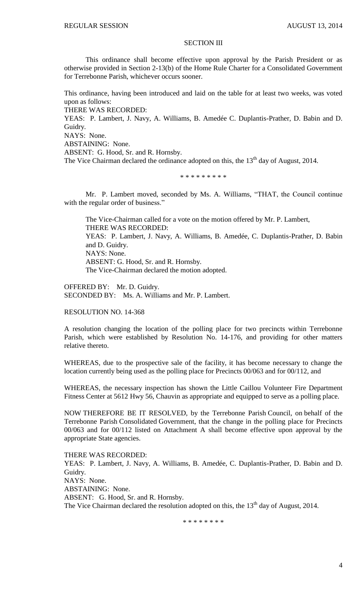#### SECTION III

This ordinance shall become effective upon approval by the Parish President or as otherwise provided in Section 2-13(b) of the Home Rule Charter for a Consolidated Government for Terrebonne Parish, whichever occurs sooner.

This ordinance, having been introduced and laid on the table for at least two weeks, was voted upon as follows:

THERE WAS RECORDED:

YEAS: P. Lambert, J. Navy, A. Williams, B. Amedée C. Duplantis-Prather, D. Babin and D. Guidry.

NAYS: None.

ABSTAINING: None.

ABSENT: G. Hood, Sr. and R. Hornsby.

The Vice Chairman declared the ordinance adopted on this, the 13<sup>th</sup> day of August, 2014.

\* \* \* \* \* \* \* \* \*

Mr. P. Lambert moved, seconded by Ms. A. Williams, "THAT, the Council continue with the regular order of business."

The Vice-Chairman called for a vote on the motion offered by Mr. P. Lambert, THERE WAS RECORDED: YEAS: P. Lambert, J. Navy, A. Williams, B. Amedée, C. Duplantis-Prather, D. Babin and D. Guidry. NAYS: None. ABSENT: G. Hood, Sr. and R. Hornsby. The Vice-Chairman declared the motion adopted.

OFFERED BY: Mr. D. Guidry. SECONDED BY: Ms. A. Williams and Mr. P. Lambert.

RESOLUTION NO. 14-368

A resolution changing the location of the polling place for two precincts within Terrebonne Parish, which were established by Resolution No. 14-176, and providing for other matters relative thereto.

WHEREAS, due to the prospective sale of the facility, it has become necessary to change the location currently being used as the polling place for Precincts 00/063 and for 00/112, and

WHEREAS, the necessary inspection has shown the Little Caillou Volunteer Fire Department Fitness Center at 5612 Hwy 56, Chauvin as appropriate and equipped to serve as a polling place.

NOW THEREFORE BE IT RESOLVED, by the Terrebonne Parish Council, on behalf of the Terrebonne Parish Consolidated Government, that the change in the polling place for Precincts 00/063 and for 00/112 listed on Attachment A shall become effective upon approval by the appropriate State agencies.

THERE WAS RECORDED:

YEAS: P. Lambert, J. Navy, A. Williams, B. Amedée, C. Duplantis-Prather, D. Babin and D. Guidry. NAYS: None. ABSTAINING: None. ABSENT: G. Hood, Sr. and R. Hornsby. The Vice Chairman declared the resolution adopted on this, the  $13<sup>th</sup>$  day of August, 2014.

\* \* \* \* \* \* \* \*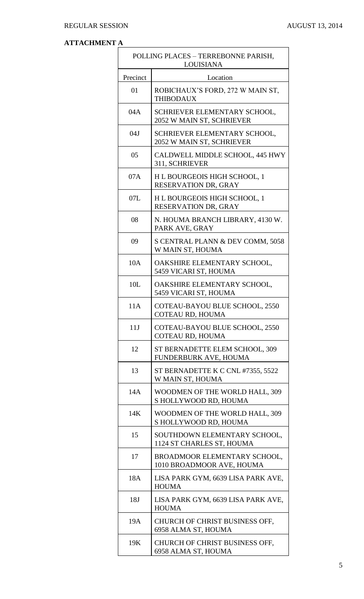# **ATTACHMENT A**

|          | POLLING PLACES - TERREBONNE PARISH,<br><b>LOUISIANA</b>   |
|----------|-----------------------------------------------------------|
| Precinct | Location                                                  |
| 01       | ROBICHAUX'S FORD, 272 W MAIN ST,<br><b>THIBODAUX</b>      |
| 04A      | SCHRIEVER ELEMENTARY SCHOOL,<br>2052 W MAIN ST, SCHRIEVER |
| 04J      | SCHRIEVER ELEMENTARY SCHOOL,<br>2052 W MAIN ST, SCHRIEVER |
| 05       | CALDWELL MIDDLE SCHOOL, 445 HWY<br>311, SCHRIEVER         |
| 07A      | H L BOURGEOIS HIGH SCHOOL, 1<br>RESERVATION DR, GRAY      |
| 07L      | H L BOURGEOIS HIGH SCHOOL, 1<br>RESERVATION DR, GRAY      |
| 08       | N. HOUMA BRANCH LIBRARY, 4130 W.<br>PARK AVE, GRAY        |
| 09       | S CENTRAL PLANN & DEV COMM, 5058<br>W MAIN ST, HOUMA      |
| 10A      | OAKSHIRE ELEMENTARY SCHOOL,<br>5459 VICARI ST, HOUMA      |
| 10L      | OAKSHIRE ELEMENTARY SCHOOL,<br>5459 VICARI ST, HOUMA      |
| 11A      | COTEAU-BAYOU BLUE SCHOOL, 2550<br>COTEAU RD, HOUMA        |
| 11J      | COTEAU-BAYOU BLUE SCHOOL, 2550<br>COTEAU RD, HOUMA        |
| 12       | ST BERNADETTE ELEM SCHOOL, 309<br>FUNDERBURK AVE, HOUMA   |
| 13       | ST BERNADETTE K C CNL #7355, 5522<br>W MAIN ST, HOUMA     |
| 14A      | WOODMEN OF THE WORLD HALL, 309<br>S HOLLYWOOD RD, HOUMA   |
| 14K      | WOODMEN OF THE WORLD HALL, 309<br>S HOLLYWOOD RD, HOUMA   |
| 15       | SOUTHDOWN ELEMENTARY SCHOOL,<br>1124 ST CHARLES ST, HOUMA |
| 17       | BROADMOOR ELEMENTARY SCHOOL,<br>1010 BROADMOOR AVE, HOUMA |
| 18A      | LISA PARK GYM, 6639 LISA PARK AVE,<br><b>HOUMA</b>        |
| 18J      | LISA PARK GYM, 6639 LISA PARK AVE,<br><b>HOUMA</b>        |
| 19A      | CHURCH OF CHRIST BUSINESS OFF,<br>6958 ALMA ST, HOUMA     |
| 19K      | CHURCH OF CHRIST BUSINESS OFF,<br>6958 ALMA ST, HOUMA     |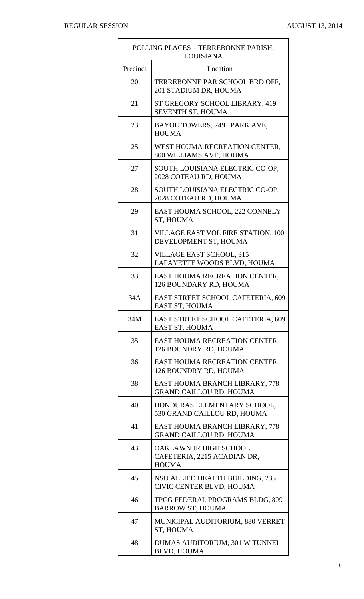$\blacksquare$ 

 $\overline{\phantom{0}}$ 

|          | POLLING PLACES - TERREBONNE PARISH,<br><b>LOUISIANA</b>               |  |
|----------|-----------------------------------------------------------------------|--|
| Precinct | Location                                                              |  |
| 20       | TERREBONNE PAR SCHOOL BRD OFF,<br>201 STADIUM DR, HOUMA               |  |
| 21       | ST GREGORY SCHOOL LIBRARY, 419<br>SEVENTH ST, HOUMA                   |  |
| 23       | BAYOU TOWERS, 7491 PARK AVE,<br><b>HOUMA</b>                          |  |
| 25       | WEST HOUMA RECREATION CENTER,<br>800 WILLIAMS AVE, HOUMA              |  |
| 27       | SOUTH LOUISIANA ELECTRIC CO-OP,<br>2028 COTEAU RD, HOUMA              |  |
| 28       | SOUTH LOUISIANA ELECTRIC CO-OP,<br>2028 COTEAU RD, HOUMA              |  |
| 29       | EAST HOUMA SCHOOL, 222 CONNELY<br>ST, HOUMA                           |  |
| 31       | <b>VILLAGE EAST VOL FIRE STATION, 100</b><br>DEVELOPMENT ST, HOUMA    |  |
| 32       | <b>VILLAGE EAST SCHOOL, 315</b><br>LAFAYETTE WOODS BLVD, HOUMA        |  |
| 33       | EAST HOUMA RECREATION CENTER,<br>126 BOUNDARY RD, HOUMA               |  |
| 34A      | EAST STREET SCHOOL CAFETERIA, 609<br><b>EAST ST, HOUMA</b>            |  |
| 34M      | EAST STREET SCHOOL CAFETERIA, 609<br>EAST ST, HOUMA                   |  |
| 35       | EAST HOUMA RECREATION CENTER,<br>126 BOUNDRY RD, HOUMA                |  |
| 36       | EAST HOUMA RECREATION CENTER,<br>126 BOUNDRY RD, HOUMA                |  |
| 38       | EAST HOUMA BRANCH LIBRARY, 778<br><b>GRAND CAILLOU RD, HOUMA</b>      |  |
| 40       | HONDURAS ELEMENTARY SCHOOL,<br>530 GRAND CAILLOU RD, HOUMA            |  |
| 41       | EAST HOUMA BRANCH LIBRARY, 778<br><b>GRAND CAILLOU RD, HOUMA</b>      |  |
| 43       | OAKLAWN JR HIGH SCHOOL<br>CAFETERIA, 2215 ACADIAN DR,<br><b>HOUMA</b> |  |
| 45       | NSU ALLIED HEALTH BUILDING, 235<br>CIVIC CENTER BLVD, HOUMA           |  |
| 46       | TPCG FEDERAL PROGRAMS BLDG, 809<br><b>BARROW ST, HOUMA</b>            |  |
| 47       | MUNICIPAL AUDITORIUM, 880 VERRET<br>ST, HOUMA                         |  |
| 48       | DUMAS AUDITORIUM, 301 W TUNNEL<br><b>BLVD, HOUMA</b>                  |  |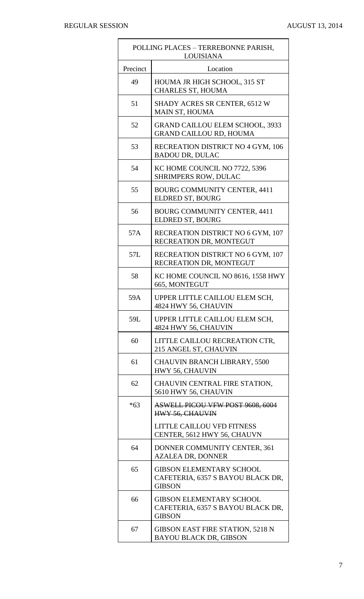$\blacksquare$ 

 $\overline{\phantom{0}}$ 

|          | POLLING PLACES - TERREBONNE PARISH,<br><b>LOUISIANA</b>                               |  |
|----------|---------------------------------------------------------------------------------------|--|
| Precinct | Location                                                                              |  |
| 49       | HOUMA JR HIGH SCHOOL, 315 ST<br><b>CHARLES ST, HOUMA</b>                              |  |
| 51       | SHADY ACRES SR CENTER, 6512 W<br>MAIN ST, HOUMA                                       |  |
| 52       | <b>GRAND CAILLOU ELEM SCHOOL, 3933</b><br><b>GRAND CAILLOU RD, HOUMA</b>              |  |
| 53       | RECREATION DISTRICT NO 4 GYM, 106<br><b>BADOU DR, DULAC</b>                           |  |
| 54       | KC HOME COUNCIL NO 7722, 5396<br><b>SHRIMPERS ROW, DULAC</b>                          |  |
| 55       | <b>BOURG COMMUNITY CENTER, 4411</b><br>ELDRED ST, BOURG                               |  |
| 56       | <b>BOURG COMMUNITY CENTER, 4411</b><br>ELDRED ST, BOURG                               |  |
| 57A      | RECREATION DISTRICT NO 6 GYM, 107<br>RECREATION DR, MONTEGUT                          |  |
| 57L      | RECREATION DISTRICT NO 6 GYM, 107<br>RECREATION DR, MONTEGUT                          |  |
| 58       | KC HOME COUNCIL NO 8616, 1558 HWY<br>665, MONTEGUT                                    |  |
| 59A      | UPPER LITTLE CAILLOU ELEM SCH,<br>4824 HWY 56, CHAUVIN                                |  |
| 59L      | UPPER LITTLE CAILLOU ELEM SCH,<br>4824 HWY 56, CHAUVIN                                |  |
| 60       | LITTLE CAILLOU RECREATION CTR,<br>215 ANGEL ST, CHAUVIN                               |  |
| 61       | <b>CHAUVIN BRANCH LIBRARY, 5500</b><br>HWY 56, CHAUVIN                                |  |
| 62       | CHAUVIN CENTRAL FIRE STATION,<br>5610 HWY 56, CHAUVIN                                 |  |
| $*63$    | <b>ASWELL PICOU VFW POST 9608, 6004</b><br>HWY 56, CHAUVIN                            |  |
|          | <b>LITTLE CAILLOU VFD FITNESS</b><br>CENTER, 5612 HWY 56, CHAUVN                      |  |
| 64       | DONNER COMMUNITY CENTER, 361<br><b>AZALEA DR, DONNER</b>                              |  |
| 65       | <b>GIBSON ELEMENTARY SCHOOL</b><br>CAFETERIA, 6357 S BAYOU BLACK DR,<br><b>GIBSON</b> |  |
| 66       | <b>GIBSON ELEMENTARY SCHOOL</b><br>CAFETERIA, 6357 S BAYOU BLACK DR,<br><b>GIBSON</b> |  |
| 67       | <b>GIBSON EAST FIRE STATION, 5218 N</b><br><b>BAYOU BLACK DR, GIBSON</b>              |  |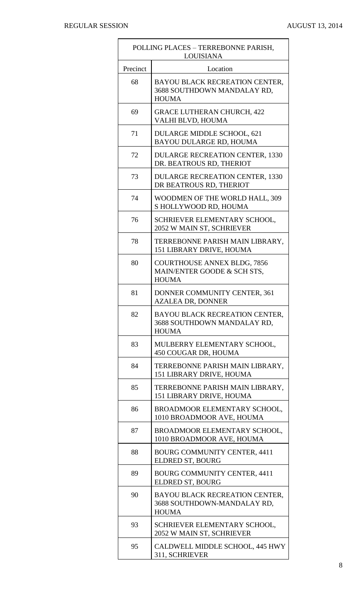$\mathbf{r}$ 

|          | POLLING PLACES - TERREBONNE PARISH,<br><b>LOUISIANA</b>                           |  |
|----------|-----------------------------------------------------------------------------------|--|
| Precinct | Location                                                                          |  |
| 68       | BAYOU BLACK RECREATION CENTER,<br>3688 SOUTHDOWN MANDALAY RD,<br><b>HOUMA</b>     |  |
| 69       | <b>GRACE LUTHERAN CHURCH, 422</b><br>VALHI BLVD, HOUMA                            |  |
| 71       | DULARGE MIDDLE SCHOOL, 621<br>BAYOU DULARGE RD, HOUMA                             |  |
| 72       | <b>DULARGE RECREATION CENTER, 1330</b><br>DR. BEATROUS RD, THERIOT                |  |
| 73       | <b>DULARGE RECREATION CENTER, 1330</b><br>DR BEATROUS RD, THERIOT                 |  |
| 74       | WOODMEN OF THE WORLD HALL, 309<br>S HOLLYWOOD RD, HOUMA                           |  |
| 76       | SCHRIEVER ELEMENTARY SCHOOL,<br>2052 W MAIN ST, SCHRIEVER                         |  |
| 78       | TERREBONNE PARISH MAIN LIBRARY,<br>151 LIBRARY DRIVE, HOUMA                       |  |
| 80       | <b>COURTHOUSE ANNEX BLDG, 7856</b><br>MAIN/ENTER GOODE & SCH STS,<br><b>HOUMA</b> |  |
| 81       | DONNER COMMUNITY CENTER, 361<br><b>AZALEA DR, DONNER</b>                          |  |
| 82       | BAYOU BLACK RECREATION CENTER,<br>3688 SOUTHDOWN MANDALAY RD,<br><b>HOUMA</b>     |  |
| 83       | MULBERRY ELEMENTARY SCHOOL,<br>450 COUGAR DR, HOUMA                               |  |
| 84       | TERREBONNE PARISH MAIN LIBRARY,<br>151 LIBRARY DRIVE, HOUMA                       |  |
| 85       | TERREBONNE PARISH MAIN LIBRARY,<br>151 LIBRARY DRIVE, HOUMA                       |  |
| 86       | BROADMOOR ELEMENTARY SCHOOL,<br>1010 BROADMOOR AVE, HOUMA                         |  |
| 87       | BROADMOOR ELEMENTARY SCHOOL,<br>1010 BROADMOOR AVE, HOUMA                         |  |
| 88       | <b>BOURG COMMUNITY CENTER, 4411</b><br>ELDRED ST, BOURG                           |  |
| 89       | <b>BOURG COMMUNITY CENTER, 4411</b><br>ELDRED ST, BOURG                           |  |
| 90       | BAYOU BLACK RECREATION CENTER,<br>3688 SOUTHDOWN-MANDALAY RD,<br><b>HOUMA</b>     |  |
| 93       | SCHRIEVER ELEMENTARY SCHOOL,<br>2052 W MAIN ST, SCHRIEVER                         |  |
| 95       | CALDWELL MIDDLE SCHOOL, 445 HWY<br>311, SCHRIEVER                                 |  |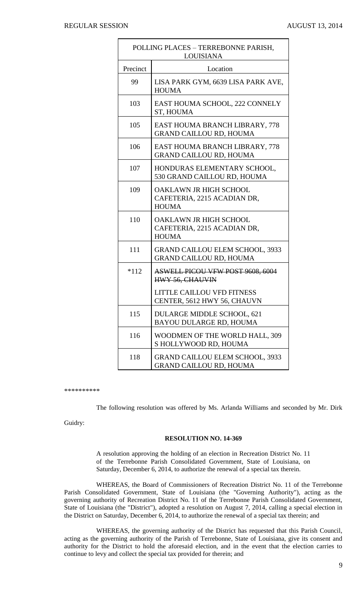| POLLING PLACES - TERREBONNE PARISH,<br><b>LOUISIANA</b> |                                                                          |
|---------------------------------------------------------|--------------------------------------------------------------------------|
| Precinct                                                | Location                                                                 |
| 99                                                      | LISA PARK GYM, 6639 LISA PARK AVE,<br><b>HOUMA</b>                       |
| 103                                                     | EAST HOUMA SCHOOL, 222 CONNELY<br>ST, HOUMA                              |
| 105                                                     | EAST HOUMA BRANCH LIBRARY, 778<br><b>GRAND CAILLOU RD, HOUMA</b>         |
| 106                                                     | EAST HOUMA BRANCH LIBRARY, 778<br><b>GRAND CAILLOU RD, HOUMA</b>         |
| 107                                                     | HONDURAS ELEMENTARY SCHOOL,<br>530 GRAND CAILLOU RD, HOUMA               |
| 109                                                     | OAKLAWN JR HIGH SCHOOL<br>CAFETERIA, 2215 ACADIAN DR,<br><b>HOUMA</b>    |
| 110                                                     | OAKLAWN JR HIGH SCHOOL<br>CAFETERIA, 2215 ACADIAN DR,<br><b>HOUMA</b>    |
| 111                                                     | <b>GRAND CAILLOU ELEM SCHOOL, 3933</b><br><b>GRAND CAILLOU RD, HOUMA</b> |
| $*112$                                                  | <b>ASWELL PICOU VFW POST 9608, 6004</b><br><b>HWY 56, CHAUVIN</b>        |
|                                                         | <b>LITTLE CAILLOU VFD FITNESS</b><br>CENTER, 5612 HWY 56, CHAUVN         |
| 115                                                     | DULARGE MIDDLE SCHOOL, 621<br><b>BAYOU DULARGE RD, HOUMA</b>             |
| 116                                                     | WOODMEN OF THE WORLD HALL, 309<br>S HOLLYWOOD RD, HOUMA                  |
| 118                                                     | <b>GRAND CAILLOU ELEM SCHOOL, 3933</b><br><b>GRAND CAILLOU RD, HOUMA</b> |

\*\*\*\*\*\*\*\*\*\*

The following resolution was offered by Ms. Arlanda Williams and seconded by Mr. Dirk

Guidry:

#### **RESOLUTION NO. 14-369**

A resolution approving the holding of an election in Recreation District No. 11 of the Terrebonne Parish Consolidated Government, State of Louisiana, on Saturday, December 6, 2014, to authorize the renewal of a special tax therein.

WHEREAS, the Board of Commissioners of Recreation District No. 11 of the Terrebonne Parish Consolidated Government, State of Louisiana (the "Governing Authority"), acting as the governing authority of Recreation District No. 11 of the Terrebonne Parish Consolidated Government, State of Louisiana (the "District"), adopted a resolution on August 7, 2014, calling a special election in the District on Saturday, December 6, 2014, to authorize the renewal of a special tax therein; and

WHEREAS, the governing authority of the District has requested that this Parish Council, acting as the governing authority of the Parish of Terrebonne, State of Louisiana, give its consent and authority for the District to hold the aforesaid election, and in the event that the election carries to continue to levy and collect the special tax provided for therein; and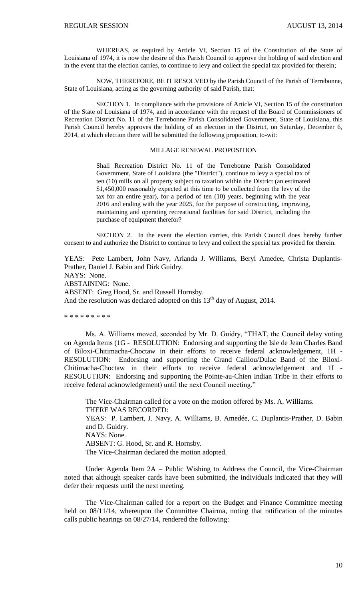WHEREAS, as required by Article VI, Section 15 of the Constitution of the State of Louisiana of 1974, it is now the desire of this Parish Council to approve the holding of said election and in the event that the election carries, to continue to levy and collect the special tax provided for therein;

NOW, THEREFORE, BE IT RESOLVED by the Parish Council of the Parish of Terrebonne, State of Louisiana, acting as the governing authority of said Parish, that:

SECTION 1. In compliance with the provisions of Article VI, Section 15 of the constitution of the State of Louisiana of 1974, and in accordance with the request of the Board of Commissioners of Recreation District No. 11 of the Terrebonne Parish Consolidated Government, State of Louisiana, this Parish Council hereby approves the holding of an election in the District, on Saturday, December 6, 2014, at which election there will be submitted the following proposition, to-wit:

#### MILLAGE RENEWAL PROPOSITION

Shall Recreation District No. 11 of the Terrebonne Parish Consolidated Government, State of Louisiana (the "District"), continue to levy a special tax of ten (10) mills on all property subject to taxation within the District (an estimated \$1,450,000 reasonably expected at this time to be collected from the levy of the tax for an entire year), for a period of ten (10) years, beginning with the year 2016 and ending with the year 2025, for the purpose of constructing, improving, maintaining and operating recreational facilities for said District, including the purchase of equipment therefor?

SECTION 2. In the event the election carries, this Parish Council does hereby further consent to and authorize the District to continue to levy and collect the special tax provided for therein.

YEAS: Pete Lambert, John Navy, Arlanda J. Williams, Beryl Amedee, Christa Duplantis-Prather, Daniel J. Babin and Dirk Guidry. NAYS: None. ABSTAINING: None. ABSENT: Greg Hood, Sr. and Russell Hornsby. And the resolution was declared adopted on this  $13<sup>th</sup>$  day of August, 2014.

\* \* \* \* \* \* \* \* \*

Ms. A. Williams moved, seconded by Mr. D. Guidry, "THAT, the Council delay voting on Agenda Items (1G - RESOLUTION: Endorsing and supporting the Isle de Jean Charles Band of Biloxi-Chitimacha-Choctaw in their efforts to receive federal acknowledgement, 1H - RESOLUTION: Endorsing and supporting the Grand Caillou/Dulac Band of the Biloxi-Chitimacha-Choctaw in their efforts to receive federal acknowledgement and 1I - RESOLUTION: Endorsing and supporting the Pointe-au-Chien Indian Tribe in their efforts to receive federal acknowledgement) until the next Council meeting."

The Vice-Chairman called for a vote on the motion offered by Ms. A. Williams. THERE WAS RECORDED: YEAS: P. Lambert, J. Navy, A. Williams, B. Amedée, C. Duplantis-Prather, D. Babin and D. Guidry. NAYS: None. ABSENT: G. Hood, Sr. and R. Hornsby. The Vice-Chairman declared the motion adopted.

Under Agenda Item 2A – Public Wishing to Address the Council, the Vice-Chairman noted that although speaker cards have been submitted, the individuals indicated that they will defer their requests until the next meeting.

The Vice-Chairman called for a report on the Budget and Finance Committee meeting held on 08/11/14, whereupon the Committee Chairma, noting that ratification of the minutes calls public hearings on 08/27/14, rendered the following: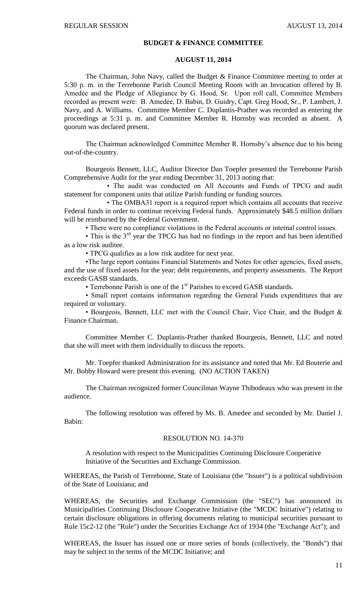## **BUDGET & FINANCE COMMITTEE**

#### **AUGUST 11, 2014**

The Chairman, John Navy, called the Budget & Finance Committee meeting to order at 5:30 p. m. in the Terrebonne Parish Council Meeting Room with an Invocation offered by B. Amedée and the Pledge of Allegiance by G. Hood, Sr. Upon roll call, Committee Members recorded as present were: B. Amedẻe, D. Babin, D. Guidry, Capt. Greg Hood, Sr., P. Lambert, J. Navy, and A. Williams. Committee Member C. Duplantis-Prather was recorded as entering the proceedings at 5:31 p. m. and Committee Member R. Hornsby was recorded as absent. A quorum was declared present.

The Chairman acknowledged Committee Member R. Hornsby's absence due to his being out-of-the-country.

Bourgeois Bennett, LLC, Auditor Director Dan Toepfer presented the Terrebonne Parish Comprehensive Audit for the year ending December 31, 2013 noting that:

• The audit was conducted on All Accounts and Funds of TPCG and audit statement for component units that utilize Parish funding or funding sources.

• The OMBA31 report is a required report which contains all accounts that receive Federal funds in order to continue receiving Federal funds. Approximately \$48.5 million dollars will be reimbursed by the Federal Government.

• There were no compliance violations in the Federal accounts or internal control issues.

• This is the 3<sup>rd</sup> year the TPCG has had no findings in the report and has been identified as a low risk auditee.

• TPCG qualifies as a low risk auditee for next year.

•The large report contains Financial Statements and Notes for other agencies, fixed assets, and the use of fixed assets for the year; debt requirements, and property assessments. The Report exceeds GASB standards.

• Terrebonne Parish is one of the 1<sup>st</sup> Parishes to exceed GASB standards.

• Small report contains information regarding the General Funds expenditures that are required or voluntary.

• Bourgeois, Bennett, LLC met with the Council Chair, Vice Chair, and the Budget & Finance Chairman.

Committee Member C. Duplantis-Prather thanked Bourgeois, Bennett, LLC and noted that she will meet with them individually to discuss the reports.

Mr. Toepfer thanked Administration for its assistance and noted that Mr. Ed Bouterie and Mr. Bobby Howard were present this evening. (NO ACTION TAKEN)

The Chairman recognized former Councilman Wayne Thibodeaux who was present in the audience.

The following resolution was offered by Ms. B. Amedee and seconded by Mr. Daniel J. Babin:

#### RESOLUTION NO. 14-370

A resolution with respect to the Municipalities Continuing Disclosure Cooperative Initiative of the Securities and Exchange Commission.

WHEREAS, the Parish of Terrebonne, State of Louisiana (the "Issuer") is a political subdivision of the State of Louisiana; and

WHEREAS, the Securities and Exchange Commission (the "SEC") has announced its Municipalities Continuing Disclosure Cooperative Initiative (the "MCDC Initiative") relating to certain disclosure obligations in offering documents relating to municipal securities pursuant to Rule 15c2-12 (the "Rule") under the Securities Exchange Act of 1934 (the "Exchange Act"); and

WHEREAS, the Issuer has issued one or more series of bonds (collectively, the "Bonds") that may be subject to the terms of the MCDC Initiative; and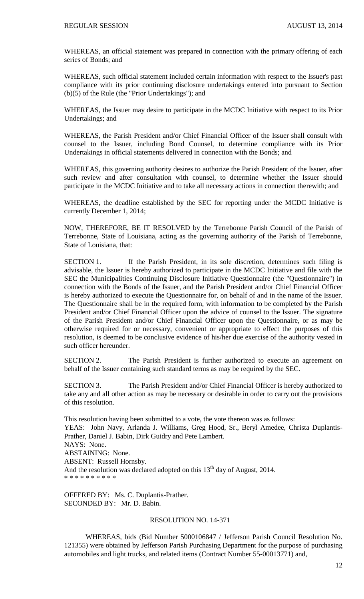WHEREAS, an official statement was prepared in connection with the primary offering of each series of Bonds; and

WHEREAS, such official statement included certain information with respect to the Issuer's past compliance with its prior continuing disclosure undertakings entered into pursuant to Section (b)(5) of the Rule (the "Prior Undertakings"); and

WHEREAS, the Issuer may desire to participate in the MCDC Initiative with respect to its Prior Undertakings; and

WHEREAS, the Parish President and/or Chief Financial Officer of the Issuer shall consult with counsel to the Issuer, including Bond Counsel, to determine compliance with its Prior Undertakings in official statements delivered in connection with the Bonds; and

WHEREAS, this governing authority desires to authorize the Parish President of the Issuer, after such review and after consultation with counsel, to determine whether the Issuer should participate in the MCDC Initiative and to take all necessary actions in connection therewith; and

WHEREAS, the deadline established by the SEC for reporting under the MCDC Initiative is currently December 1, 2014;

NOW, THEREFORE, BE IT RESOLVED by the Terrebonne Parish Council of the Parish of Terrebonne, State of Louisiana, acting as the governing authority of the Parish of Terrebonne, State of Louisiana, that:

SECTION 1. If the Parish President, in its sole discretion, determines such filing is advisable, the Issuer is hereby authorized to participate in the MCDC Initiative and file with the SEC the Municipalities Continuing Disclosure Initiative Questionnaire (the "Questionnaire") in connection with the Bonds of the Issuer, and the Parish President and/or Chief Financial Officer is hereby authorized to execute the Questionnaire for, on behalf of and in the name of the Issuer. The Questionnaire shall be in the required form, with information to be completed by the Parish President and/or Chief Financial Officer upon the advice of counsel to the Issuer. The signature of the Parish President and/or Chief Financial Officer upon the Questionnaire, or as may be otherwise required for or necessary, convenient or appropriate to effect the purposes of this resolution, is deemed to be conclusive evidence of his/her due exercise of the authority vested in such officer hereunder.

SECTION 2. The Parish President is further authorized to execute an agreement on behalf of the Issuer containing such standard terms as may be required by the SEC.

SECTION 3. The Parish President and/or Chief Financial Officer is hereby authorized to take any and all other action as may be necessary or desirable in order to carry out the provisions of this resolution.

This resolution having been submitted to a vote, the vote thereon was as follows: YEAS: John Navy, Arlanda J. Williams, Greg Hood, Sr., Beryl Amedee, Christa Duplantis-Prather, Daniel J. Babin, Dirk Guidry and Pete Lambert. NAYS: None. ABSTAINING: None. ABSENT: Russell Hornsby. And the resolution was declared adopted on this  $13<sup>th</sup>$  day of August, 2014. \* \* \* \* \* \* \* \* \* \*

OFFERED BY: Ms. C. Duplantis-Prather. SECONDED BY: Mr. D. Babin.

# RESOLUTION NO. 14-371

WHEREAS, bids (Bid Number 5000106847 / Jefferson Parish Council Resolution No. 121355) were obtained by Jefferson Parish Purchasing Department for the purpose of purchasing automobiles and light trucks, and related items (Contract Number 55-00013771) and,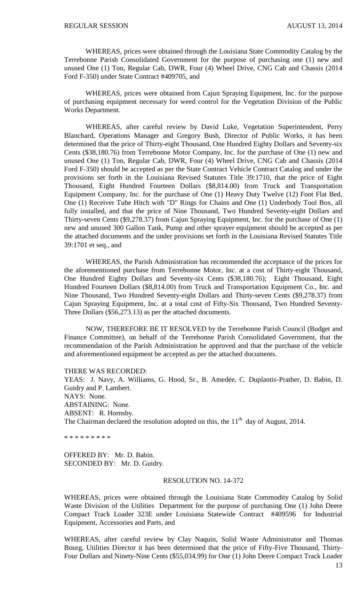WHEREAS, prices were obtained through the Louisiana State Commodity Catalog by the Terrebonne Parish Consolidated Government for the purpose of purchasing one (1) new and unused One (1) Ton, Regular Cab, DWR, Four (4) Wheel Drive, CNG Cab and Chassis (2014 Ford F-350) under State Contract #409705, and

WHEREAS, prices were obtained from Cajun Spraying Equipment, Inc. for the purpose of purchasing equipment necessary for weed control for the Vegetation Division of the Public Works Department.

WHEREAS, after careful review by David Luke, Vegetation Superintendent, Perry Blanchard, Operations Manager and Gregory Bush, Director of Public Works, it has been determined that the price of Thirty-eight Thousand, One Hundred Eighty Dollars and Seventy-six Cents (\$38,180.76) from Terrebonne Motor Company, Inc. for the purchase of One (1) new and unused One (1) Ton, Regular Cab, DWR, Four (4) Wheel Drive, CNG Cab and Chassis (2014 Ford F-350) should be accepted as per the State Contract Vehicle Contract Catalog and under the provisions set forth in the Louisiana Revised Statutes Title 39:1710, that the price of Eight Thousand, Eight Hundred Fourteen Dollars (\$8,814.00) from Truck and Transportation Equipment Company, Inc. for the purchase of One (1) Heavy Duty Twelve (12) Foot Flat Bed, One (1) Receiver Tube Hitch with "D" Rings for Chains and One (1) Underbody Tool Box, all fully installed, and that the price of Nine Thousand, Two Hundred Seventy-eight Dollars and Thirty-seven Cents (\$9,278.37) from Cajun Spraying Equipment, Inc. for the purchase of One (1) new and unused 300 Gallon Tank, Pump and other sprayer equipment should be accepted as per the attached documents and the under provisions set forth in the Louisiana Revised Statutes Title 39:1701 et seq., and

WHEREAS, the Parish Administration has recommended the acceptance of the prices for the aforementioned purchase from Terrebonne Motor, Inc. at a cost of Thirty-eight Thousand, One Hundred Eighty Dollars and Seventy-six Cents (\$38,180.76); Eight Thousand, Eight Hundred Fourteen Dollars (\$8,814.00) from Truck and Transportation Equipment Co., Inc. and Nine Thousand, Two Hundred Seventy-eight Dollars and Thirty-seven Cents (\$9,278.37) from Cajun Spraying Equipment, Inc. at a total cost of Fifty-Six Thousand, Two Hundred Seventy-Three Dollars (\$56,273.13) as per the attached documents.

NOW, THEREFORE BE IT RESOLVED by the Terrebonne Parish Council (Budget and Finance Committee), on behalf of the Terrebonne Parish Consolidated Government, that the recommendation of the Parish Administration be approved and that the purchase of the vehicle and aforementioned equipment be accepted as per the attached documents.

THERE WAS RECORDED:

YEAS: J. Navy, A. Williams, G. Hood, Sr., B. Amedée, C. Duplantis-Prather, D. Babin, D. Guidry and P. Lambert. NAYS: None. ABSTAINING: None. ABSENT: R. Hornsby. The Chairman declared the resolution adopted on this, the  $11<sup>th</sup>$  day of August, 2014.

\* \* \* \* \* \* \* \* \*

OFFERED BY: Mr. D. Babin. SECONDED BY: Mr. D. Guidry.

#### RESOLUTION NO. 14-372

WHEREAS, prices were obtained through the Louisiana State Commodity Catalog by Solid Waste Division of the Utilities Department for the purpose of purchasing One (1) John Deere Compact Track Loader 323E under Louisiana Statewide Contract #409596 for Industrial Equipment, Accessories and Parts, and

WHEREAS, after careful review by Clay Naquin, Solid Waste Administrator and Thomas Bourg, Utilities Director it has been determined that the price of Fifty-Five Thousand, Thirty-Four Dollars and Ninety-Nine Cents (\$55,034.99) for One (1) John Deere Compact Track Loader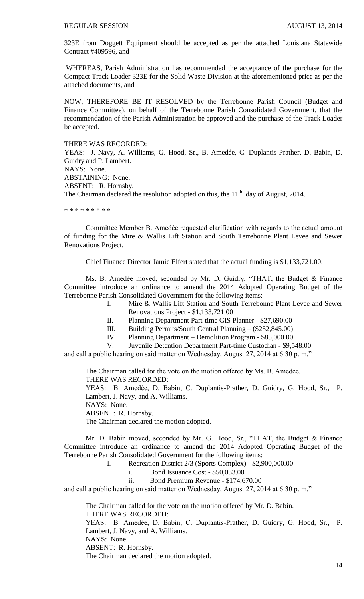323E from Doggett Equipment should be accepted as per the attached Louisiana Statewide Contract #409596, and

WHEREAS, Parish Administration has recommended the acceptance of the purchase for the Compact Track Loader 323E for the Solid Waste Division at the aforementioned price as per the attached documents, and

NOW, THEREFORE BE IT RESOLVED by the Terrebonne Parish Council (Budget and Finance Committee), on behalf of the Terrebonne Parish Consolidated Government, that the recommendation of the Parish Administration be approved and the purchase of the Track Loader be accepted.

#### THERE WAS RECORDED:

YEAS: J. Navy, A. Williams, G. Hood, Sr., B. Amedée, C. Duplantis-Prather, D. Babin, D. Guidry and P. Lambert. NAYS: None. ABSTAINING: None. ABSENT: R. Hornsby. The Chairman declared the resolution adopted on this, the  $11<sup>th</sup>$  day of August, 2014.

\* \* \* \* \* \* \* \* \*

Committee Member B. Amedẻe requested clarification with regards to the actual amount of funding for the Mire & Wallis Lift Station and South Terrebonne Plant Levee and Sewer Renovations Project.

Chief Finance Director Jamie Elfert stated that the actual funding is \$1,133,721.00.

Ms. B. Amedée moved, seconded by Mr. D. Guidry, "THAT, the Budget & Finance Committee introduce an ordinance to amend the 2014 Adopted Operating Budget of the Terrebonne Parish Consolidated Government for the following items:

> I. Mire & Wallis Lift Station and South Terrebonne Plant Levee and Sewer Renovations Project - \$1,133,721.00

II. Planning Department Part-time GIS Planner - \$27,690.00

III. Building Permits/South Central Planning – (\$252,845.00)

IV. Planning Department – Demolition Program - \$85,000.00

V. Juvenile Detention Department Part-time Custodian - \$9,548.00

and call a public hearing on said matter on Wednesday, August 27, 2014 at 6:30 p. m."

The Chairman called for the vote on the motion offered by Ms. B. Amedẻe. THERE WAS RECORDED:

YEAS: B. Amedẻe, D. Babin, C. Duplantis-Prather, D. Guidry, G. Hood, Sr., P. Lambert, J. Navy, and A. Williams.

NAYS: None.

ABSENT: R. Hornsby.

The Chairman declared the motion adopted.

Mr. D. Babin moved, seconded by Mr. G. Hood, Sr., "THAT, the Budget & Finance Committee introduce an ordinance to amend the 2014 Adopted Operating Budget of the Terrebonne Parish Consolidated Government for the following items:

I. Recreation District 2/3 (Sports Complex) - \$2,900,000.00

i. Bond Issuance Cost - \$50,033.00

ii. Bond Premium Revenue - \$174,670.00

and call a public hearing on said matter on Wednesday, August 27, 2014 at 6:30 p. m."

The Chairman called for the vote on the motion offered by Mr. D. Babin. THERE WAS RECORDED: YEAS: B. Amedẻe, D. Babin, C. Duplantis-Prather, D. Guidry, G. Hood, Sr., P. Lambert, J. Navy, and A. Williams. NAYS: None. ABSENT: R. Hornsby.

The Chairman declared the motion adopted.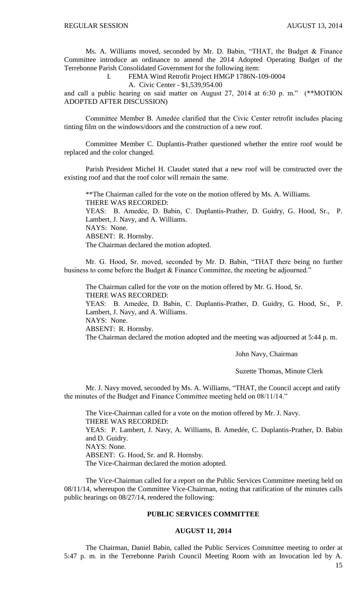Ms. A. Williams moved, seconded by Mr. D. Babin, "THAT, the Budget & Finance Committee introduce an ordinance to amend the 2014 Adopted Operating Budget of the Terrebonne Parish Consolidated Government for the following item:

#### I. FEMA Wind Retrofit Project HMGP 1786N-109-0004

A. Civic Center - \$1,539,954.00

and call a public hearing on said matter on August 27, 2014 at 6:30 p. m." (\*\*MOTION ADOPTED AFTER DISCUSSION)

Committee Member B. Amedẻe clarified that the Civic Center retrofit includes placing tinting film on the windows/doors and the construction of a new roof.

Committee Member C. Duplantis-Prather questioned whether the entire roof would be replaced and the color changed.

Parish President Michel H. Claudet stated that a new roof will be constructed over the existing roof and that the roof color will remain the same.

\*\*The Chairman called for the vote on the motion offered by Ms. A. Williams. THERE WAS RECORDED: YEAS: B. Amedẻe, D. Babin, C. Duplantis-Prather, D. Guidry, G. Hood, Sr., P. Lambert, J. Navy, and A. Williams. NAYS: None. ABSENT: R. Hornsby. The Chairman declared the motion adopted.

Mr. G. Hood, Sr. moved, seconded by Mr. D. Babin, "THAT there being no further business to come before the Budget & Finance Committee, the meeting be adjourned."

The Chairman called for the vote on the motion offered by Mr. G. Hood, Sr. THERE WAS RECORDED: YEAS: B. Amedẻe, D. Babin, C. Duplantis-Prather, D. Guidry, G. Hood, Sr., P. Lambert, J. Navy, and A. Williams. NAYS: None. ABSENT: R. Hornsby. The Chairman declared the motion adopted and the meeting was adjourned at 5:44 p. m.

John Navy, Chairman

Suzette Thomas, Minute Clerk

Mr. J. Navy moved, seconded by Ms. A. Williams, "THAT, the Council accept and ratify the minutes of the Budget and Finance Committee meeting held on 08/11/14."

The Vice-Chairman called for a vote on the motion offered by Mr. J. Navy. THERE WAS RECORDED: YEAS: P. Lambert, J. Navy, A. Williams, B. Amedée, C. Duplantis-Prather, D. Babin and D. Guidry. NAYS: None. ABSENT: G. Hood, Sr. and R. Hornsby. The Vice-Chairman declared the motion adopted.

The Vice-Chairman called for a report on the Public Services Committee meeting held on 08/11/14, whereupon the Committee Vice-Chairman, noting that ratification of the minutes calls public hearings on 08/27/14, rendered the following:

## **PUBLIC SERVICES COMMITTEE**

#### **AUGUST 11, 2014**

The Chairman, Daniel Babin, called the Public Services Committee meeting to order at 5:47 p. m. in the Terrebonne Parish Council Meeting Room with an Invocation led by A.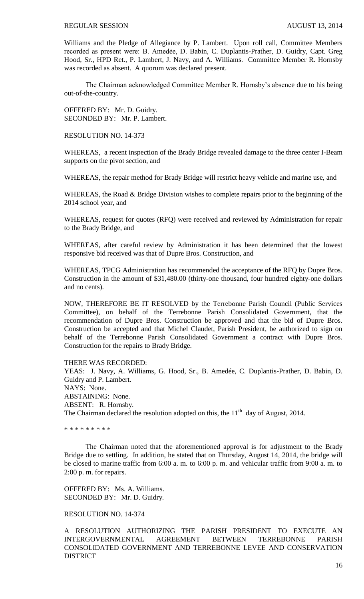Williams and the Pledge of Allegiance by P. Lambert. Upon roll call, Committee Members recorded as present were: B. Amedée, D. Babin, C. Duplantis-Prather, D. Guidry, Capt. Greg Hood, Sr., HPD Ret., P. Lambert, J. Navy, and A. Williams. Committee Member R. Hornsby was recorded as absent. A quorum was declared present.

The Chairman acknowledged Committee Member R. Hornsby's absence due to his being out-of-the-country.

OFFERED BY: Mr. D. Guidry. SECONDED BY: Mr. P. Lambert.

RESOLUTION NO. 14-373

WHEREAS, a recent inspection of the Brady Bridge revealed damage to the three center I-Beam supports on the pivot section, and

WHEREAS, the repair method for Brady Bridge will restrict heavy vehicle and marine use, and

WHEREAS, the Road & Bridge Division wishes to complete repairs prior to the beginning of the 2014 school year, and

WHEREAS, request for quotes (RFQ) were received and reviewed by Administration for repair to the Brady Bridge, and

WHEREAS, after careful review by Administration it has been determined that the lowest responsive bid received was that of Dupre Bros. Construction, and

WHEREAS, TPCG Administration has recommended the acceptance of the RFQ by Dupre Bros. Construction in the amount of \$31,480.00 (thirty-one thousand, four hundred eighty-one dollars and no cents).

NOW, THEREFORE BE IT RESOLVED by the Terrebonne Parish Council (Public Services Committee), on behalf of the Terrebonne Parish Consolidated Government, that the recommendation of Dupre Bros. Construction be approved and that the bid of Dupre Bros. Construction be accepted and that Michel Claudet, Parish President, be authorized to sign on behalf of the Terrebonne Parish Consolidated Government a contract with Dupre Bros. Construction for the repairs to Brady Bridge.

THERE WAS RECORDED:

YEAS: J. Navy, A. Williams, G. Hood, Sr., B. Amedée, C. Duplantis-Prather, D. Babin, D. Guidry and P. Lambert. NAYS: None. ABSTAINING: None. ABSENT: R. Hornsby. The Chairman declared the resolution adopted on this, the  $11<sup>th</sup>$  day of August, 2014.

\* \* \* \* \* \* \* \* \*

The Chairman noted that the aforementioned approval is for adjustment to the Brady Bridge due to settling. In addition, he stated that on Thursday, August 14, 2014, the bridge will be closed to marine traffic from 6:00 a. m. to 6:00 p. m. and vehicular traffic from 9:00 a. m. to 2:00 p. m. for repairs.

OFFERED BY: Ms. A. Williams. SECONDED BY: Mr. D. Guidry.

RESOLUTION NO. 14-374

A RESOLUTION AUTHORIZING THE PARISH PRESIDENT TO EXECUTE AN INTERGOVERNMENTAL AGREEMENT BETWEEN TERREBONNE PARISH CONSOLIDATED GOVERNMENT AND TERREBONNE LEVEE AND CONSERVATION DISTRICT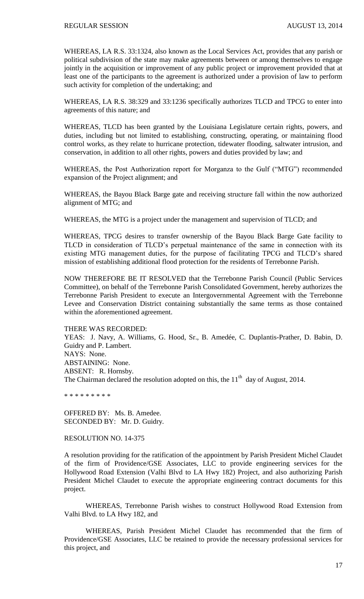WHEREAS, LA R.S. 33:1324, also known as the Local Services Act, provides that any parish or political subdivision of the state may make agreements between or among themselves to engage jointly in the acquisition or improvement of any public project or improvement provided that at least one of the participants to the agreement is authorized under a provision of law to perform such activity for completion of the undertaking; and

WHEREAS, LA R.S. 38:329 and 33:1236 specifically authorizes TLCD and TPCG to enter into agreements of this nature; and

WHEREAS, TLCD has been granted by the Louisiana Legislature certain rights, powers, and duties, including but not limited to establishing, constructing, operating, or maintaining flood control works, as they relate to hurricane protection, tidewater flooding, saltwater intrusion, and conservation, in addition to all other rights, powers and duties provided by law; and

WHEREAS, the Post Authorization report for Morganza to the Gulf ("MTG") recommended expansion of the Project alignment; and

WHEREAS, the Bayou Black Barge gate and receiving structure fall within the now authorized alignment of MTG; and

WHEREAS, the MTG is a project under the management and supervision of TLCD; and

WHEREAS, TPCG desires to transfer ownership of the Bayou Black Barge Gate facility to TLCD in consideration of TLCD's perpetual maintenance of the same in connection with its existing MTG management duties, for the purpose of facilitating TPCG and TLCD's shared mission of establishing additional flood protection for the residents of Terrebonne Parish.

NOW THEREFORE BE IT RESOLVED that the Terrebonne Parish Council (Public Services Committee), on behalf of the Terrebonne Parish Consolidated Government, hereby authorizes the Terrebonne Parish President to execute an Intergovernmental Agreement with the Terrebonne Levee and Conservation District containing substantially the same terms as those contained within the aforementioned agreement.

THERE WAS RECORDED:

YEAS: J. Navy, A. Williams, G. Hood, Sr., B. Amedée, C. Duplantis-Prather, D. Babin, D. Guidry and P. Lambert. NAYS: None. ABSTAINING: None. ABSENT: R. Hornsby. The Chairman declared the resolution adopted on this, the  $11<sup>th</sup>$  day of August, 2014.

\* \* \* \* \* \* \* \* \*

OFFERED BY: Ms. B. Amedee. SECONDED BY: Mr. D. Guidry.

RESOLUTION NO. 14-375

A resolution providing for the ratification of the appointment by Parish President Michel Claudet of the firm of Providence/GSE Associates, LLC to provide engineering services for the Hollywood Road Extension (Valhi Blvd to LA Hwy 182) Project, and also authorizing Parish President Michel Claudet to execute the appropriate engineering contract documents for this project.

WHEREAS, Terrebonne Parish wishes to construct Hollywood Road Extension from Valhi Blvd. to LA Hwy 182, and

WHEREAS, Parish President Michel Claudet has recommended that the firm of Providence/GSE Associates, LLC be retained to provide the necessary professional services for this project, and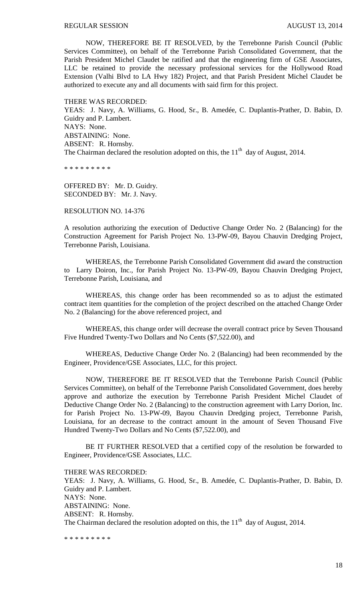NOW, THEREFORE BE IT RESOLVED, by the Terrebonne Parish Council (Public Services Committee), on behalf of the Terrebonne Parish Consolidated Government, that the Parish President Michel Claudet be ratified and that the engineering firm of GSE Associates, LLC be retained to provide the necessary professional services for the Hollywood Road Extension (Valhi Blvd to LA Hwy 182) Project, and that Parish President Michel Claudet be authorized to execute any and all documents with said firm for this project.

THERE WAS RECORDED: YEAS: J. Navy, A. Williams, G. Hood, Sr., B. Amedée, C. Duplantis-Prather, D. Babin, D. Guidry and P. Lambert. NAYS: None. ABSTAINING: None. ABSENT: R. Hornsby. The Chairman declared the resolution adopted on this, the  $11<sup>th</sup>$  day of August, 2014.

\* \* \* \* \* \* \* \* \*

OFFERED BY: Mr. D. Guidry. SECONDED BY: Mr. J. Navy.

RESOLUTION NO. 14-376

A resolution authorizing the execution of Deductive Change Order No. 2 (Balancing) for the Construction Agreement for Parish Project No. 13-PW-09, Bayou Chauvin Dredging Project, Terrebonne Parish, Louisiana.

WHEREAS, the Terrebonne Parish Consolidated Government did award the construction to Larry Doiron, Inc., for Parish Project No. 13-PW-09, Bayou Chauvin Dredging Project, Terrebonne Parish, Louisiana, and

WHEREAS, this change order has been recommended so as to adjust the estimated contract item quantities for the completion of the project described on the attached Change Order No. 2 (Balancing) for the above referenced project, and

WHEREAS, this change order will decrease the overall contract price by Seven Thousand Five Hundred Twenty-Two Dollars and No Cents (\$7,522.00), and

WHEREAS, Deductive Change Order No. 2 (Balancing) had been recommended by the Engineer, Providence/GSE Associates, LLC, for this project.

NOW, THEREFORE BE IT RESOLVED that the Terrebonne Parish Council (Public Services Committee), on behalf of the Terrebonne Parish Consolidated Government, does hereby approve and authorize the execution by Terrebonne Parish President Michel Claudet of Deductive Change Order No. 2 (Balancing) to the construction agreement with Larry Dorion, Inc. for Parish Project No. 13-PW-09, Bayou Chauvin Dredging project, Terrebonne Parish, Louisiana, for an decrease to the contract amount in the amount of Seven Thousand Five Hundred Twenty-Two Dollars and No Cents (\$7,522.00), and

BE IT FURTHER RESOLVED that a certified copy of the resolution be forwarded to Engineer, Providence/GSE Associates, LLC.

THERE WAS RECORDED:

YEAS: J. Navy, A. Williams, G. Hood, Sr., B. Amedée, C. Duplantis-Prather, D. Babin, D. Guidry and P. Lambert. NAYS: None. ABSTAINING: None. ABSENT: R. Hornsby. The Chairman declared the resolution adopted on this, the  $11<sup>th</sup>$  day of August, 2014.

\* \* \* \* \* \* \* \* \*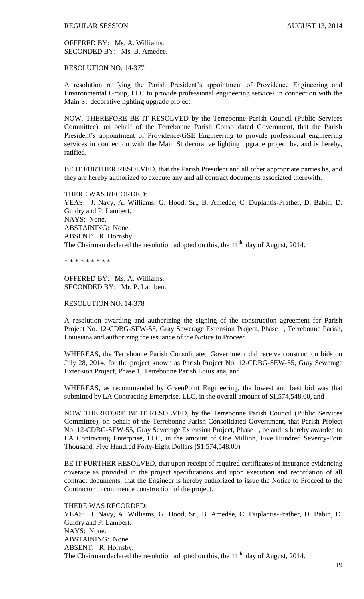OFFERED BY: Ms. A. Williams. SECONDED BY: Ms. B. Amedee.

RESOLUTION NO. 14-377

A resolution ratifying the Parish President's appointment of Providence Engineering and Environmental Group, LLC to provide professional engineering services in connection with the Main St. decorative lighting upgrade project.

NOW, THEREFORE BE IT RESOLVED by the Terrebonne Parish Council (Public Services Committee), on behalf of the Terrebonne Parish Consolidated Government, that the Parish President's appointment of Providence/GSE Engineering to provide professional engineering services in connection with the Main St decorative lighting upgrade project be, and is hereby, ratified.

BE IT FURTHER RESOLVED, that the Parish President and all other appropriate parties be, and they are hereby authorized to execute any and all contract documents associated therewith.

THERE WAS RECORDED: YEAS: J. Navy, A. Williams, G. Hood, Sr., B. Amedée, C. Duplantis-Prather, D. Babin, D. Guidry and P. Lambert. NAYS: None. ABSTAINING: None. ABSENT: R. Hornsby. The Chairman declared the resolution adopted on this, the  $11<sup>th</sup>$  day of August, 2014.

\* \* \* \* \* \* \* \* \*

OFFERED BY: Ms. A. Williams. SECONDED BY: Mr. P. Lambert.

RESOLUTION NO. 14-378

A resolution awarding and authorizing the signing of the construction agreement for Parish Project No. 12-CDBG-SEW-55, Gray Sewerage Extension Project, Phase 1, Terrebonne Parish, Louisiana and authorizing the issuance of the Notice to Proceed.

WHEREAS, the Terrebonne Parish Consolidated Government did receive construction bids on July 28, 2014, for the project known as Parish Project No. 12-CDBG-SEW-55, Gray Sewerage Extension Project, Phase 1, Terrebonne Parish Louisiana, and

WHEREAS, as recommended by GreenPoint Engineering, the lowest and best bid was that submitted by LA Contracting Enterprise, LLC, in the overall amount of \$1,574,548.00, and

NOW THEREFORE BE IT RESOLVED, by the Terrebonne Parish Council (Public Services Committee), on behalf of the Terrebonne Parish Consolidated Government, that Parish Project No. 12-CDBG-SEW-55, Gray Sewerage Extension Project, Phase 1, be and is hereby awarded to LA Contracting Enterprise, LLC, in the amount of One Million, Five Hundred Seventy-Four Thousand, Five Hundred Forty-Eight Dollars (\$1,574,548.00)

BE IT FURTHER RESOLVED, that upon receipt of required certificates of insurance evidencing coverage as provided in the project specifications and upon execution and recordation of all contract documents, that the Engineer is hereby authorized to issue the Notice to Proceed to the Contractor to commence construction of the project.

THERE WAS RECORDED: YEAS: J. Navy, A. Williams, G. Hood, Sr., B. Amedée, C. Duplantis-Prather, D. Babin, D. Guidry and P. Lambert. NAYS: None. ABSTAINING: None. ABSENT: R. Hornsby. The Chairman declared the resolution adopted on this, the  $11<sup>th</sup>$  day of August, 2014.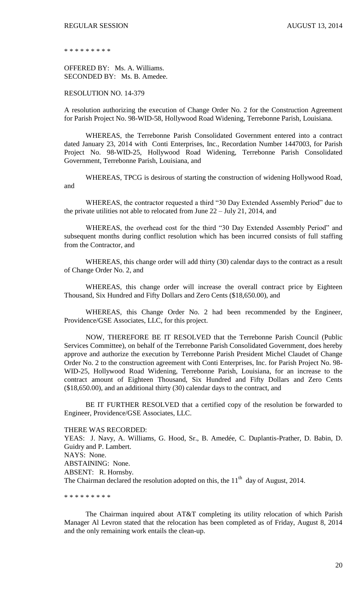\* \* \* \* \* \* \* \* \*

OFFERED BY: Ms. A. Williams. SECONDED BY: Ms. B. Amedee.

RESOLUTION NO. 14-379

A resolution authorizing the execution of Change Order No. 2 for the Construction Agreement for Parish Project No. 98-WID-58, Hollywood Road Widening, Terrebonne Parish, Louisiana.

WHEREAS, the Terrebonne Parish Consolidated Government entered into a contract dated January 23, 2014 with Conti Enterprises, Inc., Recordation Number 1447003, for Parish Project No. 98-WID-25, Hollywood Road Widening, Terrebonne Parish Consolidated Government, Terrebonne Parish, Louisiana, and

WHEREAS, TPCG is desirous of starting the construction of widening Hollywood Road, and

WHEREAS, the contractor requested a third "30 Day Extended Assembly Period" due to the private utilities not able to relocated from June 22 – July 21, 2014, and

WHEREAS, the overhead cost for the third "30 Day Extended Assembly Period" and subsequent months during conflict resolution which has been incurred consists of full staffing from the Contractor, and

WHEREAS, this change order will add thirty (30) calendar days to the contract as a result of Change Order No. 2, and

WHEREAS, this change order will increase the overall contract price by Eighteen Thousand, Six Hundred and Fifty Dollars and Zero Cents (\$18,650.00), and

WHEREAS, this Change Order No. 2 had been recommended by the Engineer, Providence/GSE Associates, LLC, for this project.

NOW, THEREFORE BE IT RESOLVED that the Terrebonne Parish Council (Public Services Committee), on behalf of the Terrebonne Parish Consolidated Government, does hereby approve and authorize the execution by Terrebonne Parish President Michel Claudet of Change Order No. 2 to the construction agreement with Conti Enterprises, Inc. for Parish Project No. 98- WID-25, Hollywood Road Widening, Terrebonne Parish, Louisiana, for an increase to the contract amount of Eighteen Thousand, Six Hundred and Fifty Dollars and Zero Cents (\$18,650.00), and an additional thirty (30) calendar days to the contract, and

BE IT FURTHER RESOLVED that a certified copy of the resolution be forwarded to Engineer, Providence/GSE Associates, LLC.

THERE WAS RECORDED:

YEAS: J. Navy, A. Williams, G. Hood, Sr., B. Amedée, C. Duplantis-Prather, D. Babin, D. Guidry and P. Lambert. NAYS: None. ABSTAINING: None. ABSENT: R. Hornsby. The Chairman declared the resolution adopted on this, the  $11<sup>th</sup>$  day of August, 2014.

\* \* \* \* \* \* \* \* \*

The Chairman inquired about AT&T completing its utility relocation of which Parish Manager Al Levron stated that the relocation has been completed as of Friday, August 8, 2014 and the only remaining work entails the clean-up.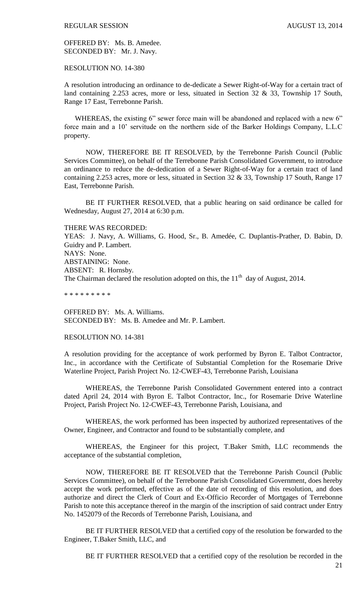OFFERED BY: Ms. B. Amedee. SECONDED BY: Mr. J. Navy.

RESOLUTION NO. 14-380

A resolution introducing an ordinance to de-dedicate a Sewer Right-of-Way for a certain tract of land containing 2.253 acres, more or less, situated in Section 32 & 33, Township 17 South, Range 17 East, Terrebonne Parish.

WHEREAS, the existing 6" sewer force main will be abandoned and replaced with a new 6" force main and a 10' servitude on the northern side of the Barker Holdings Company, L.L.C property.

NOW, THEREFORE BE IT RESOLVED, by the Terrebonne Parish Council (Public Services Committee), on behalf of the Terrebonne Parish Consolidated Government, to introduce an ordinance to reduce the de-dedication of a Sewer Right-of-Way for a certain tract of land containing 2.253 acres, more or less, situated in Section 32 & 33, Township 17 South, Range 17 East, Terrebonne Parish.

BE IT FURTHER RESOLVED, that a public hearing on said ordinance be called for Wednesday, August 27, 2014 at 6:30 p.m.

THERE WAS RECORDED:

YEAS: J. Navy, A. Williams, G. Hood, Sr., B. Amedée, C. Duplantis-Prather, D. Babin, D. Guidry and P. Lambert. NAYS: None. ABSTAINING: None. ABSENT: R. Hornsby. The Chairman declared the resolution adopted on this, the  $11<sup>th</sup>$  day of August, 2014.

\* \* \* \* \* \* \* \* \*

OFFERED BY: Ms. A. Williams. SECONDED BY: Ms. B. Amedee and Mr. P. Lambert.

RESOLUTION NO. 14-381

A resolution providing for the acceptance of work performed by Byron E. Talbot Contractor, Inc., in accordance with the Certificate of Substantial Completion for the Rosemarie Drive Waterline Project, Parish Project No. 12-CWEF-43, Terrebonne Parish, Louisiana

WHEREAS, the Terrebonne Parish Consolidated Government entered into a contract dated April 24, 2014 with Byron E. Talbot Contractor, Inc., for Rosemarie Drive Waterline Project, Parish Project No. 12-CWEF-43, Terrebonne Parish, Louisiana, and

WHEREAS, the work performed has been inspected by authorized representatives of the Owner, Engineer, and Contractor and found to be substantially complete, and

WHEREAS, the Engineer for this project, T.Baker Smith, LLC recommends the acceptance of the substantial completion,

NOW, THEREFORE BE IT RESOLVED that the Terrebonne Parish Council (Public Services Committee), on behalf of the Terrebonne Parish Consolidated Government, does hereby accept the work performed, effective as of the date of recording of this resolution, and does authorize and direct the Clerk of Court and Ex-Officio Recorder of Mortgages of Terrebonne Parish to note this acceptance thereof in the margin of the inscription of said contract under Entry No. 1452079 of the Records of Terrebonne Parish, Louisiana, and

BE IT FURTHER RESOLVED that a certified copy of the resolution be forwarded to the Engineer, T.Baker Smith, LLC, and

BE IT FURTHER RESOLVED that a certified copy of the resolution be recorded in the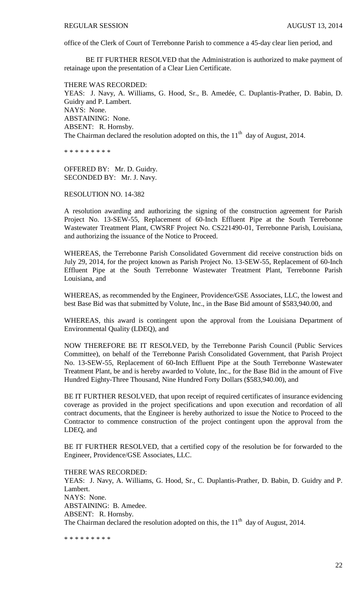office of the Clerk of Court of Terrebonne Parish to commence a 45-day clear lien period, and

BE IT FURTHER RESOLVED that the Administration is authorized to make payment of retainage upon the presentation of a Clear Lien Certificate.

THERE WAS RECORDED: YEAS: J. Navy, A. Williams, G. Hood, Sr., B. Amedée, C. Duplantis-Prather, D. Babin, D. Guidry and P. Lambert. NAYS: None. ABSTAINING: None. ABSENT: R. Hornsby. The Chairman declared the resolution adopted on this, the  $11<sup>th</sup>$  day of August, 2014.

\* \* \* \* \* \* \* \* \*

OFFERED BY: Mr. D. Guidry. SECONDED BY: Mr. J. Navy.

RESOLUTION NO. 14-382

A resolution awarding and authorizing the signing of the construction agreement for Parish Project No. 13-SEW-55, Replacement of 60-Inch Effluent Pipe at the South Terrebonne Wastewater Treatment Plant, CWSRF Project No. CS221490-01, Terrebonne Parish, Louisiana, and authorizing the issuance of the Notice to Proceed.

WHEREAS, the Terrebonne Parish Consolidated Government did receive construction bids on July 29, 2014, for the project known as Parish Project No. 13-SEW-55, Replacement of 60-Inch Effluent Pipe at the South Terrebonne Wastewater Treatment Plant, Terrebonne Parish Louisiana, and

WHEREAS, as recommended by the Engineer, Providence/GSE Associates, LLC, the lowest and best Base Bid was that submitted by Volute, Inc., in the Base Bid amount of \$583,940.00, and

WHEREAS, this award is contingent upon the approval from the Louisiana Department of Environmental Quality (LDEQ), and

NOW THEREFORE BE IT RESOLVED, by the Terrebonne Parish Council (Public Services Committee), on behalf of the Terrebonne Parish Consolidated Government, that Parish Project No. 13-SEW-55, Replacement of 60-Inch Effluent Pipe at the South Terrebonne Wastewater Treatment Plant, be and is hereby awarded to Volute, Inc., for the Base Bid in the amount of Five Hundred Eighty-Three Thousand, Nine Hundred Forty Dollars (\$583,940.00), and

BE IT FURTHER RESOLVED, that upon receipt of required certificates of insurance evidencing coverage as provided in the project specifications and upon execution and recordation of all contract documents, that the Engineer is hereby authorized to issue the Notice to Proceed to the Contractor to commence construction of the project contingent upon the approval from the LDEQ, and

BE IT FURTHER RESOLVED, that a certified copy of the resolution be for forwarded to the Engineer, Providence/GSE Associates, LLC.

THERE WAS RECORDED: YEAS: J. Navy, A. Williams, G. Hood, Sr., C. Duplantis-Prather, D. Babin, D. Guidry and P. Lambert. NAYS: None. ABSTAINING: B. Amedee. ABSENT: R. Hornsby. The Chairman declared the resolution adopted on this, the  $11<sup>th</sup>$  day of August, 2014.

\* \* \* \* \* \* \* \* \*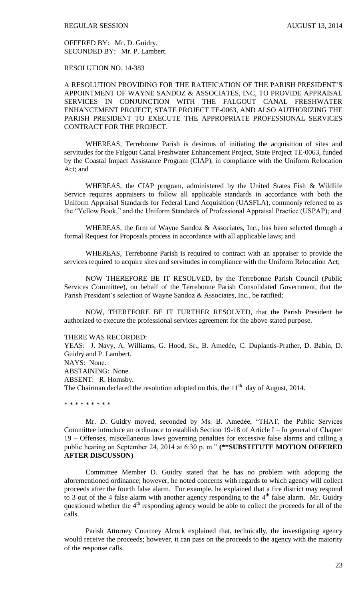OFFERED BY: Mr. D. Guidry. SECONDED BY: Mr. P. Lambert.

RESOLUTION NO. 14-383

A RESOLUTION PROVIDING FOR THE RATIFICATION OF THE PARISH PRESIDENT'S APPOINTMENT OF WAYNE SANDOZ & ASSOCIATES, INC, TO PROVIDE APPRAISAL SERVICES IN CONJUNCTION WITH THE FALGOUT CANAL FRESHWATER ENHANCEMENT PROJECT, STATE PROJECT TE-0063, AND ALSO AUTHORIZING THE PARISH PRESIDENT TO EXECUTE THE APPROPRIATE PROFESSIONAL SERVICES CONTRACT FOR THE PROJECT.

WHEREAS, Terrebonne Parish is desirous of initiating the acquisition of sites and servitudes for the Falgout Canal Freshwater Enhancement Project, State Project TE-0063, funded by the Coastal Impact Assistance Program (CIAP), in compliance with the Uniform Relocation Act; and

WHEREAS, the CIAP program, administered by the United States Fish & Wildlife Service requires appraisers to follow all applicable standards in accordance with both the Uniform Appraisal Standards for Federal Land Acquisition (UASFLA), commonly referred to as the "Yellow Book," and the Uniform Standards of Professional Appraisal Practice (USPAP); and

WHEREAS, the firm of Wayne Sandoz & Associates, Inc., has been selected through a formal Request for Proposals process in accordance with all applicable laws; and

WHEREAS, Terrebonne Parish is required to contract with an appraiser to provide the services required to acquire sites and servitudes in compliance with the Uniform Relocation Act;

NOW THEREFORE BE IT RESOLVED, by the Terrebonne Parish Council (Public Services Committee), on behalf of the Terrebonne Parish Consolidated Government, that the Parish President's selection of Wayne Sandoz & Associates, Inc., be ratified;

NOW, THEREFORE BE IT FURTHER RESOLVED, that the Parish President be authorized to execute the professional services agreement for the above stated purpose.

THERE WAS RECORDED:

YEAS: J. Navy, A. Williams, G. Hood, Sr., B. Amedée, C. Duplantis-Prather, D. Babin, D. Guidry and P. Lambert. NAYS: None. ABSTAINING: None. ABSENT: R. Hornsby. The Chairman declared the resolution adopted on this, the  $11<sup>th</sup>$  day of August, 2014.

\* \* \* \* \* \* \* \* \*

Mr. D. Guidry moved, seconded by Ms. B. Amedée, "THAT, the Public Services Committee introduce an ordinance to establish Section 19-18 of Article I – In general of Chapter 19 – Offenses, miscellaneous laws governing penalties for excessive false alarms and calling a public hearing on September 24, 2014 at 6:30 p. m." **(\*\*SUBSTITUTE MOTION OFFERED AFTER DISCUSSON)**

Committee Member D. Guidry stated that he has no problem with adopting the aforementioned ordinance; however, he noted concerns with regards to which agency will collect proceeds after the fourth false alarm. For example, he explained that a fire district may respond to 3 out of the 4 false alarm with another agency responding to the  $4<sup>th</sup>$  false alarm. Mr. Guidry questioned whether the  $4<sup>th</sup>$  responding agency would be able to collect the proceeds for all of the calls.

Parish Attorney Courtney Alcock explained that, technically, the investigating agency would receive the proceeds; however, it can pass on the proceeds to the agency with the majority of the response calls.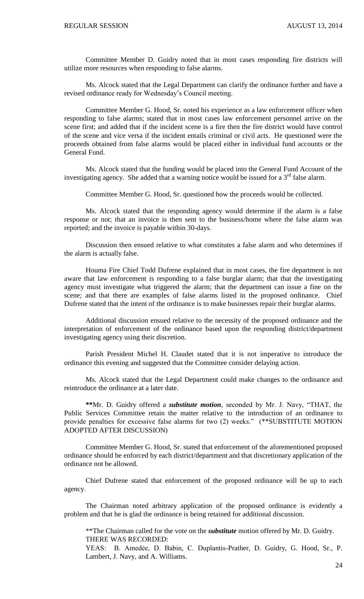Committee Member D. Guidry noted that in most cases responding fire districts will utilize more resources when responding to false alarms.

Ms. Alcock stated that the Legal Department can clarify the ordinance further and have a revised ordinance ready for Wednesday's Council meeting.

Committee Member G. Hood, Sr. noted his experience as a law enforcement officer when responding to false alarms; stated that in most cases law enforcement personnel arrive on the scene first; and added that if the incident scene is a fire then the fire district would have control of the scene and vice versa if the incident entails criminal or civil acts. He questioned were the proceeds obtained from false alarms would be placed either in individual fund accounts or the General Fund.

Ms. Alcock stated that the funding would be placed into the General Fund Account of the investigating agency. She added that a warning notice would be issued for a  $3<sup>rd</sup>$  false alarm.

Committee Member G. Hood, Sr. questioned how the proceeds would be collected.

Ms. Alcock stated that the responding agency would determine if the alarm is a false response or not; that an invoice is then sent to the business/home where the false alarm was reported; and the invoice is payable within 30-days.

Discussion then ensued relative to what constitutes a false alarm and who determines if the alarm is actually false.

Houma Fire Chief Todd Dufrene explained that in most cases, the fire department is not aware that law enforcement is responding to a false burglar alarm; that that the investigating agency must investigate what triggered the alarm; that the department can issue a fine on the scene; and that there are examples of false alarms listed in the proposed ordinance. Chief Dufrene stated that the intent of the ordinance is to make businesses repair their burglar alarms.

Additional discussion ensued relative to the necessity of the proposed ordinance and the interpretation of enforcement of the ordinance based upon the responding district/department investigating agency using their discretion.

Parish President Michel H. Claudet stated that it is not imperative to introduce the ordinance this evening and suggested that the Committee consider delaying action.

Ms. Alcock stated that the Legal Department could make changes to the ordinance and reintroduce the ordinance at a later date.

**\*\***Mr. D. Guidry offered a *substitute motion*, seconded by Mr. J. Navy, "THAT, the Public Services Committee retain the matter relative to the introduction of an ordinance to provide penalties for excessive false alarms for two (2) weeks." (\*\*SUBSTITUTE MOTION ADOPTED AFTER DISCUSSION)

Committee Member G. Hood, Sr. stated that enforcement of the aforementioned proposed ordinance should be enforced by each district/department and that discretionary application of the ordinance not be allowed.

Chief Dufrene stated that enforcement of the proposed ordinance will be up to each agency.

The Chairman noted arbitrary application of the proposed ordinance is evidently a problem and that he is glad the ordinance is being retained for additional discussion.

\*\*The Chairman called for the vote on the *substitute* motion offered by Mr. D. Guidry. THERE WAS RECORDED:

YEAS: B. Amedẻe, D. Babin, C. Duplantis-Prather, D. Guidry, G. Hood, Sr., P. Lambert, J. Navy, and A. Williams.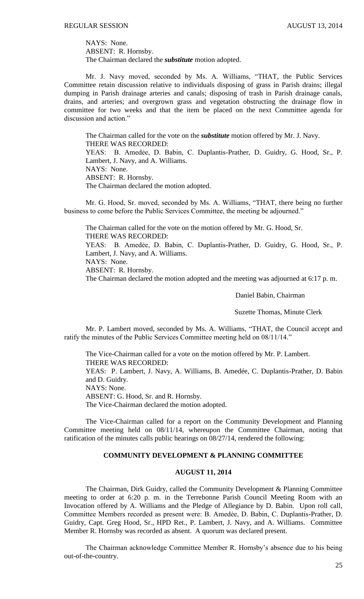NAYS: None. ABSENT: R. Hornsby. The Chairman declared the *substitute* motion adopted.

Mr. J. Navy moved, seconded by Ms. A. Williams, "THAT, the Public Services Committee retain discussion relative to individuals disposing of grass in Parish drains; illegal dumping in Parish drainage arteries and canals; disposing of trash in Parish drainage canals, drains, and arteries; and overgrown grass and vegetation obstructing the drainage flow in committee for two weeks and that the item be placed on the next Committee agenda for discussion and action."

The Chairman called for the vote on the *substitute* motion offered by Mr. J. Navy. THERE WAS RECORDED: YEAS: B. Amedėe, D. Babin, C. Duplantis-Prather, D. Guidry, G. Hood, Sr., P. Lambert, J. Navy, and A. Williams. NAYS: None. ABSENT: R. Hornsby. The Chairman declared the motion adopted.

Mr. G. Hood, Sr. moved, seconded by Ms. A. Williams, "THAT, there being no further business to come before the Public Services Committee, the meeting be adjourned."

The Chairman called for the vote on the motion offered by Mr. G. Hood, Sr. THERE WAS RECORDED: YEAS: B. Amedẻe, D. Babin, C. Duplantis-Prather, D. Guidry, G. Hood, Sr., P. Lambert, J. Navy, and A. Williams. NAYS: None. ABSENT: R. Hornsby. The Chairman declared the motion adopted and the meeting was adjourned at 6:17 p. m.

Daniel Babin, Chairman

Suzette Thomas, Minute Clerk

Mr. P. Lambert moved, seconded by Ms. A. Williams, "THAT, the Council accept and ratify the minutes of the Public Services Committee meeting held on 08/11/14."

The Vice-Chairman called for a vote on the motion offered by Mr. P. Lambert. THERE WAS RECORDED: YEAS: P. Lambert, J. Navy, A. Williams, B. Amedée, C. Duplantis-Prather, D. Babin and D. Guidry.

NAYS: None.

ABSENT: G. Hood, Sr. and R. Hornsby.

The Vice-Chairman declared the motion adopted.

The Vice-Chairman called for a report on the Community Development and Planning Committee meeting held on 08/11/14, whereupon the Committee Chairman, noting that ratification of the minutes calls public hearings on 08/27/14, rendered the following:

### **COMMUNITY DEVELOPMENT & PLANNING COMMITTEE**

## **AUGUST 11, 2014**

The Chairman, Dirk Guidry, called the Community Development & Planning Committee meeting to order at 6:20 p. m. in the Terrebonne Parish Council Meeting Room with an Invocation offered by A. Williams and the Pledge of Allegiance by D. Babin. Upon roll call, Committee Members recorded as present were: B. Amedẻe, D. Babin, C. Duplantis-Prather, D. Guidry, Capt. Greg Hood, Sr., HPD Ret., P. Lambert, J. Navy, and A. Williams. Committee Member R. Hornsby was recorded as absent. A quorum was declared present.

The Chairman acknowledge Committee Member R. Hornsby's absence due to his being out-of-the-country.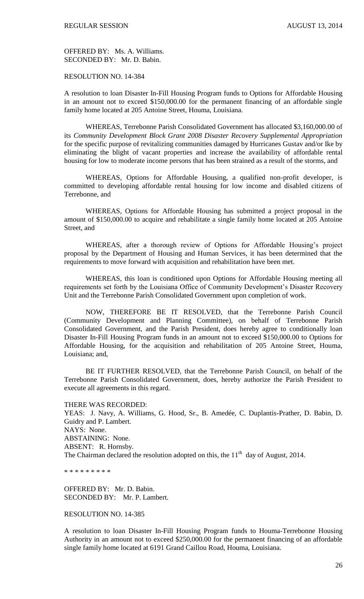OFFERED BY: Ms. A. Williams. SECONDED BY: Mr. D. Babin.

## RESOLUTION NO. 14-384

A resolution to loan Disaster In-Fill Housing Program funds to Options for Affordable Housing in an amount not to exceed \$150,000.00 for the permanent financing of an affordable single family home located at 205 Antoine Street, Houma, Louisiana.

WHEREAS, Terrebonne Parish Consolidated Government has allocated \$3,160,000.00 of its *Community Development Block Grant 2008 Disaster Recovery Supplemental Appropriation* for the specific purpose of revitalizing communities damaged by Hurricanes Gustav and/or Ike by eliminating the blight of vacant properties and increase the availability of affordable rental housing for low to moderate income persons that has been strained as a result of the storms, and

WHEREAS, Options for Affordable Housing, a qualified non-profit developer, is committed to developing affordable rental housing for low income and disabled citizens of Terrebonne, and

WHEREAS, Options for Affordable Housing has submitted a project proposal in the amount of \$150,000.00 to acquire and rehabilitate a single family home located at 205 Antoine Street, and

WHEREAS, after a thorough review of Options for Affordable Housing's project proposal by the Department of Housing and Human Services, it has been determined that the requirements to move forward with acquisition and rehabilitation have been met.

WHEREAS, this loan is conditioned upon Options for Affordable Housing meeting all requirements set forth by the Louisiana Office of Community Development's Disaster Recovery Unit and the Terrebonne Parish Consolidated Government upon completion of work.

NOW, THEREFORE BE IT RESOLVED, that the Terrebonne Parish Council (Community Development and Planning Committee), on behalf of Terrebonne Parish Consolidated Government, and the Parish President, does hereby agree to conditionally loan Disaster In-Fill Housing Program funds in an amount not to exceed \$150,000.00 to Options for Affordable Housing, for the acquisition and rehabilitation of 205 Antoine Street, Houma, Louisiana; and,

BE IT FURTHER RESOLVED, that the Terrebonne Parish Council, on behalf of the Terrebonne Parish Consolidated Government, does, hereby authorize the Parish President to execute all agreements in this regard.

THERE WAS RECORDED: YEAS: J. Navy, A. Williams, G. Hood, Sr., B. Amedée, C. Duplantis-Prather, D. Babin, D. Guidry and P. Lambert. NAYS: None. ABSTAINING: None. ABSENT: R. Hornsby. The Chairman declared the resolution adopted on this, the  $11<sup>th</sup>$  day of August, 2014.

\* \* \* \* \* \* \* \* \*

OFFERED BY: Mr. D. Babin. SECONDED BY: Mr. P. Lambert.

RESOLUTION NO. 14-385

A resolution to loan Disaster In-Fill Housing Program funds to Houma-Terrebonne Housing Authority in an amount not to exceed \$250,000.00 for the permanent financing of an affordable single family home located at 6191 Grand Caillou Road, Houma, Louisiana.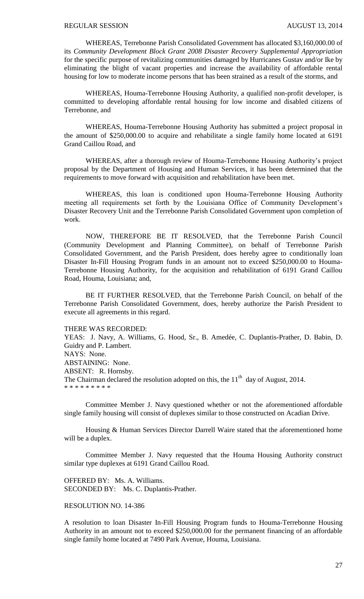WHEREAS, Terrebonne Parish Consolidated Government has allocated \$3,160,000.00 of its *Community Development Block Grant 2008 Disaster Recovery Supplemental Appropriation* for the specific purpose of revitalizing communities damaged by Hurricanes Gustav and/or Ike by eliminating the blight of vacant properties and increase the availability of affordable rental housing for low to moderate income persons that has been strained as a result of the storms, and

WHEREAS, Houma-Terrebonne Housing Authority, a qualified non-profit developer, is committed to developing affordable rental housing for low income and disabled citizens of Terrebonne, and

WHEREAS, Houma-Terrebonne Housing Authority has submitted a project proposal in the amount of \$250,000.00 to acquire and rehabilitate a single family home located at 6191 Grand Caillou Road, and

WHEREAS, after a thorough review of Houma-Terrebonne Housing Authority's project proposal by the Department of Housing and Human Services, it has been determined that the requirements to move forward with acquisition and rehabilitation have been met.

WHEREAS, this loan is conditioned upon Houma-Terrebonne Housing Authority meeting all requirements set forth by the Louisiana Office of Community Development's Disaster Recovery Unit and the Terrebonne Parish Consolidated Government upon completion of work.

NOW, THEREFORE BE IT RESOLVED, that the Terrebonne Parish Council (Community Development and Planning Committee), on behalf of Terrebonne Parish Consolidated Government, and the Parish President, does hereby agree to conditionally loan Disaster In-Fill Housing Program funds in an amount not to exceed \$250,000.00 to Houma-Terrebonne Housing Authority, for the acquisition and rehabilitation of 6191 Grand Caillou Road, Houma, Louisiana; and,

BE IT FURTHER RESOLVED, that the Terrebonne Parish Council, on behalf of the Terrebonne Parish Consolidated Government, does, hereby authorize the Parish President to execute all agreements in this regard.

#### THERE WAS RECORDED:

YEAS: J. Navy, A. Williams, G. Hood, Sr., B. Amedée, C. Duplantis-Prather, D. Babin, D. Guidry and P. Lambert. NAYS: None. ABSTAINING: None. ABSENT: R. Hornsby. The Chairman declared the resolution adopted on this, the  $11<sup>th</sup>$  day of August, 2014. \* \* \* \* \* \* \* \* \*

Committee Member J. Navy questioned whether or not the aforementioned affordable single family housing will consist of duplexes similar to those constructed on Acadian Drive.

Housing & Human Services Director Darrell Waire stated that the aforementioned home will be a duplex.

Committee Member J. Navy requested that the Houma Housing Authority construct similar type duplexes at 6191 Grand Caillou Road.

OFFERED BY: Ms. A. Williams. SECONDED BY: Ms. C. Duplantis-Prather.

#### RESOLUTION NO. 14-386

A resolution to loan Disaster In-Fill Housing Program funds to Houma-Terrebonne Housing Authority in an amount not to exceed \$250,000.00 for the permanent financing of an affordable single family home located at 7490 Park Avenue, Houma, Louisiana.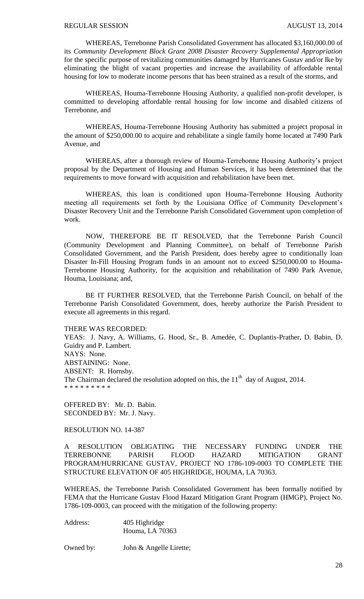WHEREAS, Terrebonne Parish Consolidated Government has allocated \$3,160,000.00 of its *Community Development Block Grant 2008 Disaster Recovery Supplemental Appropriation* for the specific purpose of revitalizing communities damaged by Hurricanes Gustav and/or Ike by eliminating the blight of vacant properties and increase the availability of affordable rental housing for low to moderate income persons that has been strained as a result of the storms, and

WHEREAS, Houma-Terrebonne Housing Authority, a qualified non-profit developer, is committed to developing affordable rental housing for low income and disabled citizens of Terrebonne, and

WHEREAS, Houma-Terrebonne Housing Authority has submitted a project proposal in the amount of \$250,000.00 to acquire and rehabilitate a single family home located at 7490 Park Avenue, and

WHEREAS, after a thorough review of Houma-Terrebonne Housing Authority's project proposal by the Department of Housing and Human Services, it has been determined that the requirements to move forward with acquisition and rehabilitation have been met.

WHEREAS, this loan is conditioned upon Houma-Terrebonne Housing Authority meeting all requirements set forth by the Louisiana Office of Community Development's Disaster Recovery Unit and the Terrebonne Parish Consolidated Government upon completion of work.

NOW, THEREFORE BE IT RESOLVED, that the Terrebonne Parish Council (Community Development and Planning Committee), on behalf of Terrebonne Parish Consolidated Government, and the Parish President, does hereby agree to conditionally loan Disaster In-Fill Housing Program funds in an amount not to exceed \$250,000.00 to Houma-Terrebonne Housing Authority, for the acquisition and rehabilitation of 7490 Park Avenue, Houma, Louisiana; and,

BE IT FURTHER RESOLVED, that the Terrebonne Parish Council, on behalf of the Terrebonne Parish Consolidated Government, does, hereby authorize the Parish President to execute all agreements in this regard.

#### THERE WAS RECORDED:

YEAS: J. Navy, A. Williams, G. Hood, Sr., B. Amedée, C. Duplantis-Prather, D. Babin, D. Guidry and P. Lambert. NAYS: None. ABSTAINING: None. ABSENT: R. Hornsby. The Chairman declared the resolution adopted on this, the  $11<sup>th</sup>$  day of August, 2014. \* \* \* \* \* \* \* \* \*

OFFERED BY: Mr. D. Babin. SECONDED BY: Mr. J. Navy.

RESOLUTION NO. 14-387

A RESOLUTION OBLIGATING THE NECESSARY FUNDING UNDER THE TERREBONNE PARISH FLOOD HAZARD MITIGATION GRANT PROGRAM/HURRICANE GUSTAV, PROJECT NO 1786-109-0003 TO COMPLETE THE STRUCTURE ELEVATION OF 405 HIGHRIDGE, HOUMA, LA 70363.

WHEREAS, the Terrebonne Parish Consolidated Government has been formally notified by FEMA that the Hurricane Gustav Flood Hazard Mitigation Grant Program (HMGP), Project No. 1786-109-0003, can proceed with the mitigation of the following property:

Address: 405 Highridge Houma, LA 70363

Owned by: John & Angelle Lirette;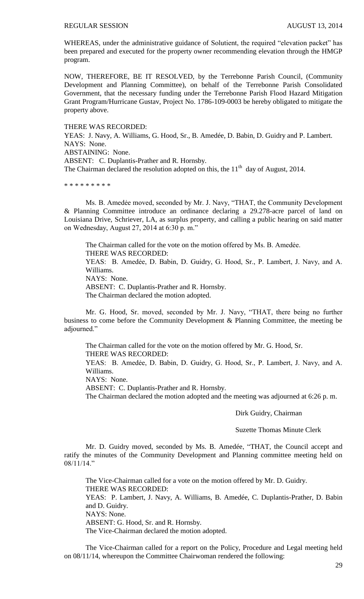WHEREAS, under the administrative guidance of Solutient, the required "elevation packet" has been prepared and executed for the property owner recommending elevation through the HMGP program.

NOW, THEREFORE, BE IT RESOLVED, by the Terrebonne Parish Council, (Community Development and Planning Committee), on behalf of the Terrebonne Parish Consolidated Government, that the necessary funding under the Terrebonne Parish Flood Hazard Mitigation Grant Program/Hurricane Gustav, Project No. 1786-109-0003 be hereby obligated to mitigate the property above.

THERE WAS RECORDED:

YEAS: J. Navy, A. Williams, G. Hood, Sr., B. Amedée, D. Babin, D. Guidry and P. Lambert. NAYS: None.

ABSTAINING: None.

ABSENT: C. Duplantis-Prather and R. Hornsby.

The Chairman declared the resolution adopted on this, the  $11<sup>th</sup>$  day of August, 2014.

\* \* \* \* \* \* \* \* \*

Ms. B. Amedée moved, seconded by Mr. J. Navy, "THAT, the Community Development & Planning Committee introduce an ordinance declaring a 29.278-acre parcel of land on Louisiana Drive, Schriever, LA, as surplus property, and calling a public hearing on said matter on Wednesday, August 27, 2014 at 6:30 p. m."

The Chairman called for the vote on the motion offered by Ms. B. Amedẻe. THERE WAS RECORDED: YEAS: B. Amedėe, D. Babin, D. Guidry, G. Hood, Sr., P. Lambert, J. Navy, and A. Williams. NAYS: None. ABSENT: C. Duplantis-Prather and R. Hornsby. The Chairman declared the motion adopted.

Mr. G. Hood, Sr. moved, seconded by Mr. J. Navy, "THAT, there being no further business to come before the Community Development & Planning Committee, the meeting be adjourned."

The Chairman called for the vote on the motion offered by Mr. G. Hood, Sr. THERE WAS RECORDED: YEAS: B. Amedėe, D. Babin, D. Guidry, G. Hood, Sr., P. Lambert, J. Navy, and A.

Williams.

NAYS: None.

ABSENT: C. Duplantis-Prather and R. Hornsby.

The Chairman declared the motion adopted and the meeting was adjourned at 6:26 p. m.

Dirk Guidry, Chairman

Suzette Thomas Minute Clerk

Mr. D. Guidry moved, seconded by Ms. B. Amedée, "THAT, the Council accept and ratify the minutes of the Community Development and Planning committee meeting held on 08/11/14."

The Vice-Chairman called for a vote on the motion offered by Mr. D. Guidry. THERE WAS RECORDED: YEAS: P. Lambert, J. Navy, A. Williams, B. Amedée, C. Duplantis-Prather, D. Babin and D. Guidry. NAYS: None. ABSENT: G. Hood, Sr. and R. Hornsby. The Vice-Chairman declared the motion adopted.

The Vice-Chairman called for a report on the Policy, Procedure and Legal meeting held on 08/11/14, whereupon the Committee Chairwoman rendered the following: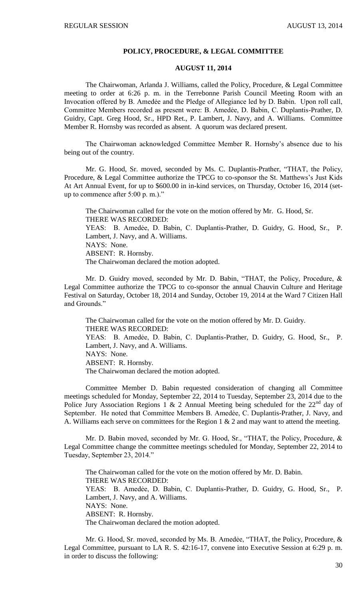#### **POLICY, PROCEDURE, & LEGAL COMMITTEE**

#### **AUGUST 11, 2014**

The Chairwoman, Arlanda J. Williams, called the Policy, Procedure, & Legal Committee meeting to order at 6:26 p. m. in the Terrebonne Parish Council Meeting Room with an Invocation offered by B. Amedée and the Pledge of Allegiance led by D. Babin. Upon roll call, Committee Members recorded as present were: B. Amedẻe, D. Babin, C. Duplantis-Prather, D. Guidry, Capt. Greg Hood, Sr., HPD Ret., P. Lambert, J. Navy, and A. Williams. Committee Member R. Hornsby was recorded as absent. A quorum was declared present.

The Chairwoman acknowledged Committee Member R. Hornsby's absence due to his being out of the country.

Mr. G. Hood, Sr. moved, seconded by Ms. C. Duplantis-Prather, "THAT, the Policy, Procedure, & Legal Committee authorize the TPCG to co-sponsor the St. Matthews's Just Kids At Art Annual Event, for up to \$600.00 in in-kind services, on Thursday, October 16, 2014 (setup to commence after 5:00 p. m.)."

The Chairwoman called for the vote on the motion offered by Mr. G. Hood, Sr. THERE WAS RECORDED: YEAS: B. Amedẻe, D. Babin, C. Duplantis-Prather, D. Guidry, G. Hood, Sr., P. Lambert, J. Navy, and A. Williams. NAYS: None. ABSENT: R. Hornsby. The Chairwoman declared the motion adopted.

Mr. D. Guidry moved, seconded by Mr. D. Babin, "THAT, the Policy, Procedure, & Legal Committee authorize the TPCG to co-sponsor the annual Chauvin Culture and Heritage Festival on Saturday, October 18, 2014 and Sunday, October 19, 2014 at the Ward 7 Citizen Hall and Grounds."

The Chairwoman called for the vote on the motion offered by Mr. D. Guidry. THERE WAS RECORDED: YEAS: B. Amedẻe, D. Babin, C. Duplantis-Prather, D. Guidry, G. Hood, Sr., P. Lambert, J. Navy, and A. Williams. NAYS: None. ABSENT: R. Hornsby. The Chairwoman declared the motion adopted.

Committee Member D. Babin requested consideration of changing all Committee meetings scheduled for Monday, September 22, 2014 to Tuesday, September 23, 2014 due to the Police Jury Association Regions 1 & 2 Annual Meeting being scheduled for the  $22<sup>nd</sup>$  day of September. He noted that Committee Members B. Amedée, C. Duplantis-Prather, J. Navy, and A. Williams each serve on committees for the Region 1  $& 2$  and may want to attend the meeting.

Mr. D. Babin moved, seconded by Mr. G. Hood, Sr., "THAT, the Policy, Procedure, & Legal Committee change the committee meetings scheduled for Monday, September 22, 2014 to Tuesday, September 23, 2014."

The Chairwoman called for the vote on the motion offered by Mr. D. Babin. THERE WAS RECORDED: YEAS: B. Amedẻe, D. Babin, C. Duplantis-Prather, D. Guidry, G. Hood, Sr., P. Lambert, J. Navy, and A. Williams. NAYS: None. ABSENT: R. Hornsby. The Chairwoman declared the motion adopted.

Mr. G. Hood, Sr. moved, seconded by Ms. B. Amedẻe, "THAT, the Policy, Procedure, & Legal Committee, pursuant to LA R. S. 42:16-17, convene into Executive Session at 6:29 p. m. in order to discuss the following: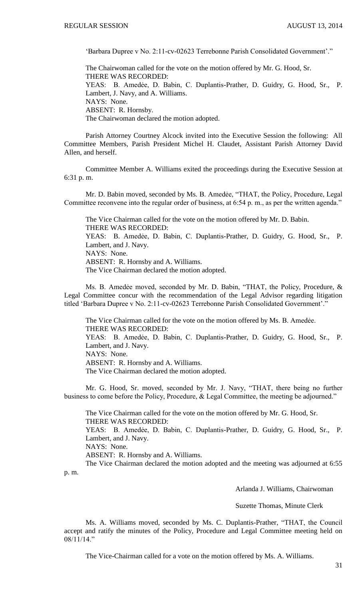'Barbara Dupree v No. 2:11-cv-02623 Terrebonne Parish Consolidated Government'."

The Chairwoman called for the vote on the motion offered by Mr. G. Hood, Sr. THERE WAS RECORDED: YEAS: B. Amedẻe, D. Babin, C. Duplantis-Prather, D. Guidry, G. Hood, Sr., P. Lambert, J. Navy, and A. Williams. NAYS: None. ABSENT: R. Hornsby. The Chairwoman declared the motion adopted.

Parish Attorney Courtney Alcock invited into the Executive Session the following: All Committee Members, Parish President Michel H. Claudet, Assistant Parish Attorney David Allen, and herself.

Committee Member A. Williams exited the proceedings during the Executive Session at 6:31 p. m.

Mr. D. Babin moved, seconded by Ms. B. Amedẻe, "THAT, the Policy, Procedure, Legal Committee reconvene into the regular order of business, at 6:54 p. m., as per the written agenda."

The Vice Chairman called for the vote on the motion offered by Mr. D. Babin. THERE WAS RECORDED: YEAS: B. Amedẻe, D. Babin, C. Duplantis-Prather, D. Guidry, G. Hood, Sr., P. Lambert, and J. Navy. NAYS: None.

ABSENT: R. Hornsby and A. Williams.

The Vice Chairman declared the motion adopted.

Ms. B. Amedėe moved, seconded by Mr. D. Babin, "THAT, the Policy, Procedure, & Legal Committee concur with the recommendation of the Legal Advisor regarding litigation titled 'Barbara Dupree v No. 2:11-cv-02623 Terrebonne Parish Consolidated Government'."

The Vice Chairman called for the vote on the motion offered by Ms. B. Amedẻe. THERE WAS RECORDED: YEAS: B. Amedẻe, D. Babin, C. Duplantis-Prather, D. Guidry, G. Hood, Sr., P. Lambert, and J. Navy. NAYS: None. ABSENT: R. Hornsby and A. Williams. The Vice Chairman declared the motion adopted.

Mr. G. Hood, Sr. moved, seconded by Mr. J. Navy, "THAT, there being no further business to come before the Policy, Procedure, & Legal Committee, the meeting be adjourned."

The Vice Chairman called for the vote on the motion offered by Mr. G. Hood, Sr. THERE WAS RECORDED: YEAS: B. Amedẻe, D. Babin, C. Duplantis-Prather, D. Guidry, G. Hood, Sr., P. Lambert, and J. Navy. NAYS: None.

ABSENT: R. Hornsby and A. Williams.

The Vice Chairman declared the motion adopted and the meeting was adjourned at 6:55 p. m.

Arlanda J. Williams, Chairwoman

Suzette Thomas, Minute Clerk

Ms. A. Williams moved, seconded by Ms. C. Duplantis-Prather, "THAT, the Council accept and ratify the minutes of the Policy, Procedure and Legal Committee meeting held on 08/11/14."

The Vice-Chairman called for a vote on the motion offered by Ms. A. Williams.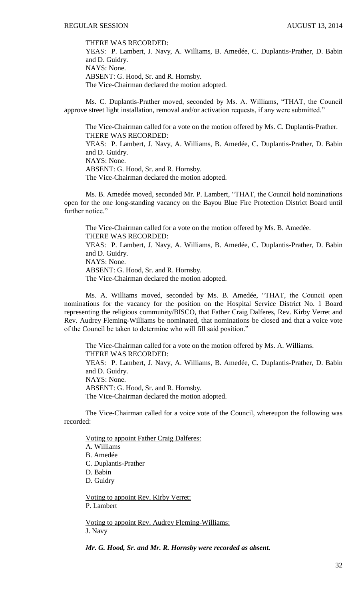THERE WAS RECORDED:

YEAS: P. Lambert, J. Navy, A. Williams, B. Amedée, C. Duplantis-Prather, D. Babin and D. Guidry. NAYS: None. ABSENT: G. Hood, Sr. and R. Hornsby. The Vice-Chairman declared the motion adopted.

Ms. C. Duplantis-Prather moved, seconded by Ms. A. Williams, "THAT, the Council approve street light installation, removal and/or activation requests, if any were submitted."

The Vice-Chairman called for a vote on the motion offered by Ms. C. Duplantis-Prather. THERE WAS RECORDED: YEAS: P. Lambert, J. Navy, A. Williams, B. Amedée, C. Duplantis-Prather, D. Babin and D. Guidry. NAYS: None.

ABSENT: G. Hood, Sr. and R. Hornsby.

The Vice-Chairman declared the motion adopted.

Ms. B. Amedée moved, seconded Mr. P. Lambert, "THAT, the Council hold nominations open for the one long-standing vacancy on the Bayou Blue Fire Protection District Board until further notice."

The Vice-Chairman called for a vote on the motion offered by Ms. B. Amedée. THERE WAS RECORDED: YEAS: P. Lambert, J. Navy, A. Williams, B. Amedée, C. Duplantis-Prather, D. Babin and D. Guidry. NAYS: None. ABSENT: G. Hood, Sr. and R. Hornsby. The Vice-Chairman declared the motion adopted.

Ms. A. Williams moved, seconded by Ms. B. Amedée, "THAT, the Council open nominations for the vacancy for the position on the Hospital Service District No. 1 Board representing the religious community/BISCO, that Father Craig Dalferes, Rev. Kirby Verret and Rev. Audrey Fleming-Williams be nominated, that nominations be closed and that a voice vote of the Council be taken to determine who will fill said position."

The Vice-Chairman called for a vote on the motion offered by Ms. A. Williams. THERE WAS RECORDED: YEAS: P. Lambert, J. Navy, A. Williams, B. Amedée, C. Duplantis-Prather, D. Babin and D. Guidry. NAYS: None. ABSENT: G. Hood, Sr. and R. Hornsby. The Vice-Chairman declared the motion adopted.

The Vice-Chairman called for a voice vote of the Council, whereupon the following was recorded:

Voting to appoint Father Craig Dalferes: A. Williams B. Amedée C. Duplantis-Prather D. Babin D. Guidry

Voting to appoint Rev. Kirby Verret: P. Lambert

Voting to appoint Rev. Audrey Fleming-Williams: J. Navy

*Mr. G. Hood, Sr. and Mr. R. Hornsby were recorded as absent.*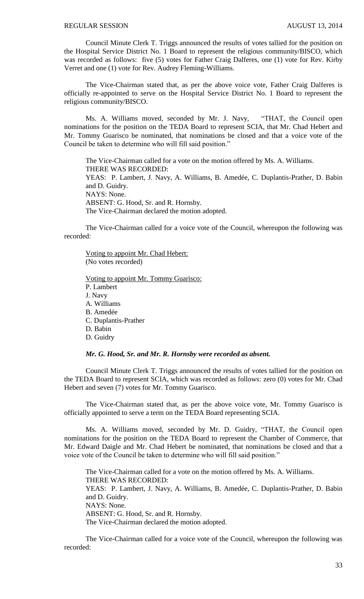Council Minute Clerk T. Triggs announced the results of votes tallied for the position on the Hospital Service District No. 1 Board to represent the religious community/BISCO, which was recorded as follows: five (5) votes for Father Craig Dalferes, one (1) vote for Rev. Kirby Verret and one (1) vote for Rev. Audrey Fleming-Williams.

The Vice-Chairman stated that, as per the above voice vote, Father Craig Dalferes is officially re-appointed to serve on the Hospital Service District No. 1 Board to represent the religious community/BISCO.

Ms. A. Williams moved, seconded by Mr. J. Navy, "THAT, the Council open nominations for the position on the TEDA Board to represent SCIA, that Mr. Chad Hebert and Mr. Tommy Guarisco be nominated, that nominations be closed and that a voice vote of the Council be taken to determine who will fill said position."

The Vice-Chairman called for a vote on the motion offered by Ms. A. Williams. THERE WAS RECORDED: YEAS: P. Lambert, J. Navy, A. Williams, B. Amedée, C. Duplantis-Prather, D. Babin and D. Guidry. NAYS: None. ABSENT: G. Hood, Sr. and R. Hornsby. The Vice-Chairman declared the motion adopted.

The Vice-Chairman called for a voice vote of the Council, whereupon the following was recorded:

Voting to appoint Mr. Chad Hebert: (No votes recorded)

Voting to appoint Mr. Tommy Guarisco: P. Lambert J. Navy A. Williams B. Amedée C. Duplantis-Prather D. Babin D. Guidry

#### *Mr. G. Hood, Sr. and Mr. R. Hornsby were recorded as absent.*

Council Minute Clerk T. Triggs announced the results of votes tallied for the position on the TEDA Board to represent SCIA, which was recorded as follows: zero (0) votes for Mr. Chad Hebert and seven (7) votes for Mr. Tommy Guarisco.

The Vice-Chairman stated that, as per the above voice vote, Mr. Tommy Guarisco is officially appointed to serve a term on the TEDA Board representing SCIA.

Ms. A. Williams moved, seconded by Mr. D. Guidry, "THAT, the Council open nominations for the position on the TEDA Board to represent the Chamber of Commerce, that Mr. Edward Daigle and Mr. Chad Hebert be nominated, that nominations be closed and that a voice vote of the Council be taken to determine who will fill said position."

The Vice-Chairman called for a vote on the motion offered by Ms. A. Williams. THERE WAS RECORDED: YEAS: P. Lambert, J. Navy, A. Williams, B. Amedée, C. Duplantis-Prather, D. Babin and D. Guidry. NAYS: None. ABSENT: G. Hood, Sr. and R. Hornsby. The Vice-Chairman declared the motion adopted.

The Vice-Chairman called for a voice vote of the Council, whereupon the following was recorded: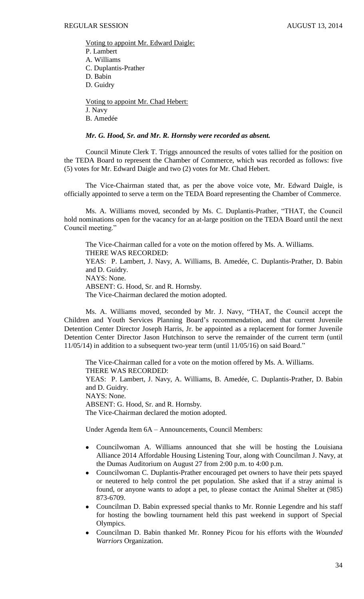Voting to appoint Mr. Edward Daigle: P. Lambert A. Williams C. Duplantis-Prather D. Babin D. Guidry

Voting to appoint Mr. Chad Hebert: J. Navy B. Amedée

#### *Mr. G. Hood, Sr. and Mr. R. Hornsby were recorded as absent.*

Council Minute Clerk T. Triggs announced the results of votes tallied for the position on the TEDA Board to represent the Chamber of Commerce, which was recorded as follows: five (5) votes for Mr. Edward Daigle and two (2) votes for Mr. Chad Hebert.

The Vice-Chairman stated that, as per the above voice vote, Mr. Edward Daigle, is officially appointed to serve a term on the TEDA Board representing the Chamber of Commerce.

Ms. A. Williams moved, seconded by Ms. C. Duplantis-Prather, "THAT, the Council hold nominations open for the vacancy for an at-large position on the TEDA Board until the next Council meeting."

The Vice-Chairman called for a vote on the motion offered by Ms. A. Williams. THERE WAS RECORDED: YEAS: P. Lambert, J. Navy, A. Williams, B. Amedée, C. Duplantis-Prather, D. Babin and D. Guidry. NAYS: None. ABSENT: G. Hood, Sr. and R. Hornsby. The Vice-Chairman declared the motion adopted.

Ms. A. Williams moved, seconded by Mr. J. Navy, "THAT, the Council accept the Children and Youth Services Planning Board's recommendation, and that current Juvenile Detention Center Director Joseph Harris, Jr. be appointed as a replacement for former Juvenile Detention Center Director Jason Hutchinson to serve the remainder of the current term (until 11/05/14) in addition to a subsequent two-year term (until 11/05/16) on said Board."

The Vice-Chairman called for a vote on the motion offered by Ms. A. Williams. THERE WAS RECORDED: YEAS: P. Lambert, J. Navy, A. Williams, B. Amedée, C. Duplantis-Prather, D. Babin and D. Guidry. NAYS: None. ABSENT: G. Hood, Sr. and R. Hornsby. The Vice-Chairman declared the motion adopted.

Under Agenda Item 6A – Announcements, Council Members:

- Councilwoman A. Williams announced that she will be hosting the Louisiana Alliance 2014 Affordable Housing Listening Tour, along with Councilman J. Navy, at the Dumas Auditorium on August 27 from 2:00 p.m. to 4:00 p.m.
- Councilwoman C. Duplantis-Prather encouraged pet owners to have their pets spayed or neutered to help control the pet population. She asked that if a stray animal is found, or anyone wants to adopt a pet, to please contact the Animal Shelter at (985) 873-6709.
- Councilman D. Babin expressed special thanks to Mr. Ronnie Legendre and his staff for hosting the bowling tournament held this past weekend in support of Special Olympics.
- Councilman D. Babin thanked Mr. Ronney Picou for his efforts with the *Wounded Warriors* Organization.